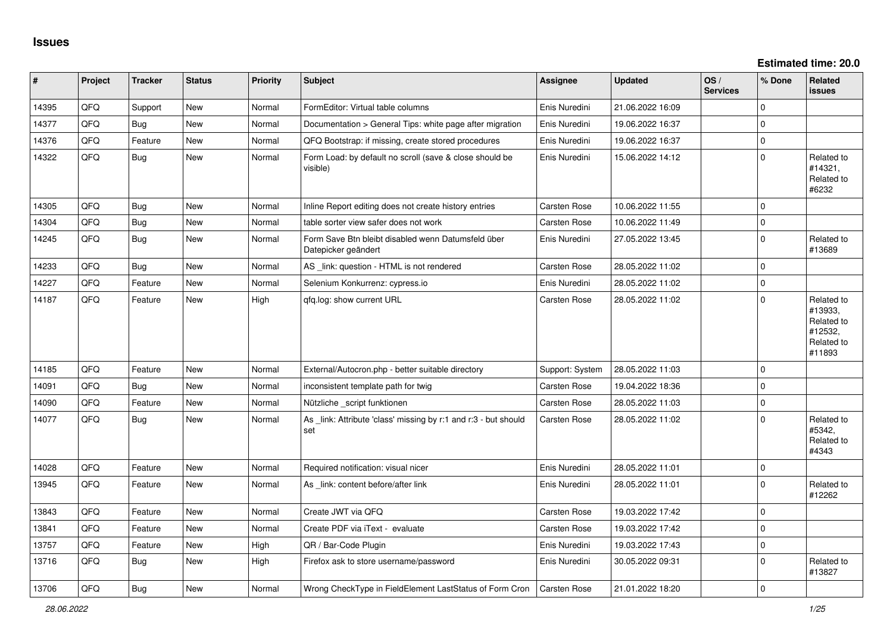**Estimated time: 20.0**

| #     | Project | <b>Tracker</b> | <b>Status</b> | <b>Priority</b> | Subject                                                                   | <b>Assignee</b>     | <b>Updated</b>   | OS/<br><b>Services</b> | % Done         | Related<br><b>issues</b>                                               |
|-------|---------|----------------|---------------|-----------------|---------------------------------------------------------------------------|---------------------|------------------|------------------------|----------------|------------------------------------------------------------------------|
| 14395 | QFQ     | Support        | <b>New</b>    | Normal          | FormEditor: Virtual table columns                                         | Enis Nuredini       | 21.06.2022 16:09 |                        | $\Omega$       |                                                                        |
| 14377 | QFQ     | Bug            | <b>New</b>    | Normal          | Documentation > General Tips: white page after migration                  | Enis Nuredini       | 19.06.2022 16:37 |                        | $\overline{0}$ |                                                                        |
| 14376 | QFQ     | Feature        | <b>New</b>    | Normal          | QFQ Bootstrap: if missing, create stored procedures                       | Enis Nuredini       | 19.06.2022 16:37 |                        | $\overline{0}$ |                                                                        |
| 14322 | QFQ     | <b>Bug</b>     | <b>New</b>    | Normal          | Form Load: by default no scroll (save & close should be<br>visible)       | Enis Nuredini       | 15.06.2022 14:12 |                        | $\Omega$       | Related to<br>#14321,<br>Related to<br>#6232                           |
| 14305 | QFQ     | <b>Bug</b>     | <b>New</b>    | Normal          | Inline Report editing does not create history entries                     | Carsten Rose        | 10.06.2022 11:55 |                        | $\Omega$       |                                                                        |
| 14304 | QFQ     | <b>Bug</b>     | <b>New</b>    | Normal          | table sorter view safer does not work                                     | Carsten Rose        | 10.06.2022 11:49 |                        | $\mathbf 0$    |                                                                        |
| 14245 | QFQ     | <b>Bug</b>     | <b>New</b>    | Normal          | Form Save Btn bleibt disabled wenn Datumsfeld über<br>Datepicker geändert | Enis Nuredini       | 27.05.2022 13:45 |                        | $\overline{0}$ | Related to<br>#13689                                                   |
| 14233 | QFQ     | <b>Bug</b>     | <b>New</b>    | Normal          | AS_link: question - HTML is not rendered                                  | Carsten Rose        | 28.05.2022 11:02 |                        | $\overline{0}$ |                                                                        |
| 14227 | QFQ     | Feature        | <b>New</b>    | Normal          | Selenium Konkurrenz: cypress.io                                           | Enis Nuredini       | 28.05.2022 11:02 |                        | $\Omega$       |                                                                        |
| 14187 | QFQ     | Feature        | <b>New</b>    | High            | qfq.log: show current URL                                                 | Carsten Rose        | 28.05.2022 11:02 |                        | $\Omega$       | Related to<br>#13933,<br>Related to<br>#12532,<br>Related to<br>#11893 |
| 14185 | QFQ     | Feature        | <b>New</b>    | Normal          | External/Autocron.php - better suitable directory                         | Support: System     | 28.05.2022 11:03 |                        | $\overline{0}$ |                                                                        |
| 14091 | QFQ     | <b>Bug</b>     | <b>New</b>    | Normal          | inconsistent template path for twig                                       | Carsten Rose        | 19.04.2022 18:36 |                        | $\Omega$       |                                                                        |
| 14090 | QFQ     | Feature        | <b>New</b>    | Normal          | Nützliche _script funktionen                                              | Carsten Rose        | 28.05.2022 11:03 |                        | $\Omega$       |                                                                        |
| 14077 | QFQ     | Bug            | New           | Normal          | As _link: Attribute 'class' missing by r:1 and r:3 - but should<br>set    | Carsten Rose        | 28.05.2022 11:02 |                        | $\Omega$       | Related to<br>#5342,<br>Related to<br>#4343                            |
| 14028 | QFQ     | Feature        | <b>New</b>    | Normal          | Required notification: visual nicer                                       | Enis Nuredini       | 28.05.2022 11:01 |                        | $\mathbf 0$    |                                                                        |
| 13945 | QFQ     | Feature        | New           | Normal          | As link: content before/after link                                        | Enis Nuredini       | 28.05.2022 11:01 |                        | $\Omega$       | Related to<br>#12262                                                   |
| 13843 | QFQ     | Feature        | <b>New</b>    | Normal          | Create JWT via QFQ                                                        | Carsten Rose        | 19.03.2022 17:42 |                        | $\overline{0}$ |                                                                        |
| 13841 | QFQ     | Feature        | <b>New</b>    | Normal          | Create PDF via iText - evaluate                                           | Carsten Rose        | 19.03.2022 17:42 |                        | $\Omega$       |                                                                        |
| 13757 | QFQ     | Feature        | <b>New</b>    | High            | QR / Bar-Code Plugin                                                      | Enis Nuredini       | 19.03.2022 17:43 |                        | 0              |                                                                        |
| 13716 | QFQ     | Bug            | <b>New</b>    | High            | Firefox ask to store username/password                                    | Enis Nuredini       | 30.05.2022 09:31 |                        | $\mathbf 0$    | Related to<br>#13827                                                   |
| 13706 | QFQ     | <b>Bug</b>     | <b>New</b>    | Normal          | Wrong CheckType in FieldElement LastStatus of Form Cron                   | <b>Carsten Rose</b> | 21.01.2022 18:20 |                        | $\overline{0}$ |                                                                        |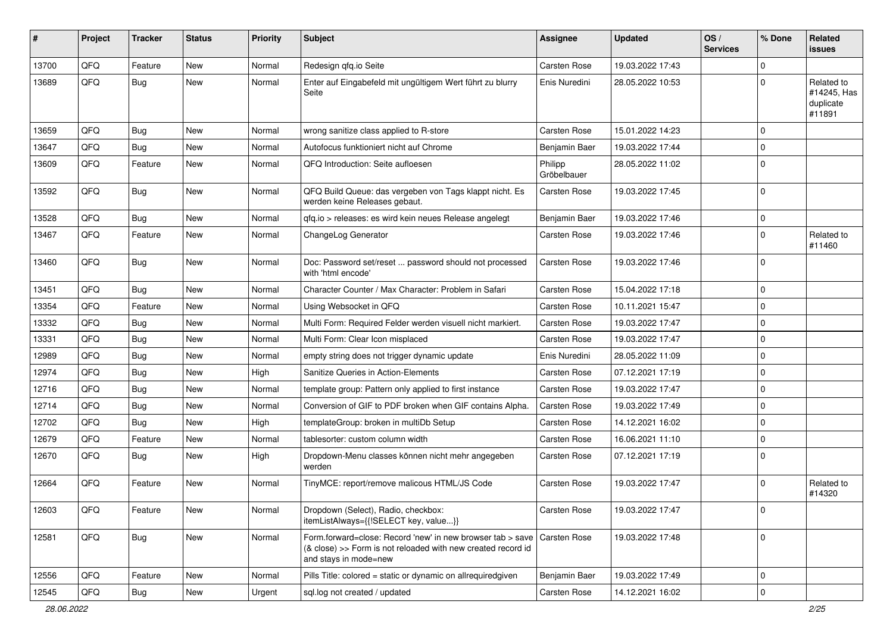| #     | Project | <b>Tracker</b> | <b>Status</b> | <b>Priority</b> | <b>Subject</b>                                                                                                                                      | Assignee               | <b>Updated</b>   | OS/<br><b>Services</b> | % Done      | Related<br><b>issues</b>                         |
|-------|---------|----------------|---------------|-----------------|-----------------------------------------------------------------------------------------------------------------------------------------------------|------------------------|------------------|------------------------|-------------|--------------------------------------------------|
| 13700 | QFQ     | Feature        | <b>New</b>    | Normal          | Redesign qfq.io Seite                                                                                                                               | <b>Carsten Rose</b>    | 19.03.2022 17:43 |                        | $\Omega$    |                                                  |
| 13689 | QFQ     | Bug            | <b>New</b>    | Normal          | Enter auf Eingabefeld mit ungültigem Wert führt zu blurry<br>Seite                                                                                  | Enis Nuredini          | 28.05.2022 10:53 |                        | $\Omega$    | Related to<br>#14245, Has<br>duplicate<br>#11891 |
| 13659 | QFQ     | Bug            | <b>New</b>    | Normal          | wrong sanitize class applied to R-store                                                                                                             | Carsten Rose           | 15.01.2022 14:23 |                        | $\mathbf 0$ |                                                  |
| 13647 | QFQ     | Bug            | <b>New</b>    | Normal          | Autofocus funktioniert nicht auf Chrome                                                                                                             | Benjamin Baer          | 19.03.2022 17:44 |                        | $\mathbf 0$ |                                                  |
| 13609 | QFQ     | Feature        | <b>New</b>    | Normal          | QFQ Introduction: Seite aufloesen                                                                                                                   | Philipp<br>Gröbelbauer | 28.05.2022 11:02 |                        | $\Omega$    |                                                  |
| 13592 | QFQ     | Bug            | <b>New</b>    | Normal          | QFQ Build Queue: das vergeben von Tags klappt nicht. Es<br>werden keine Releases gebaut.                                                            | Carsten Rose           | 19.03.2022 17:45 |                        | 0           |                                                  |
| 13528 | QFQ     | Bug            | <b>New</b>    | Normal          | qfq.io > releases: es wird kein neues Release angelegt                                                                                              | Benjamin Baer          | 19.03.2022 17:46 |                        | $\mathbf 0$ |                                                  |
| 13467 | QFQ     | Feature        | <b>New</b>    | Normal          | ChangeLog Generator                                                                                                                                 | Carsten Rose           | 19.03.2022 17:46 |                        | $\Omega$    | Related to<br>#11460                             |
| 13460 | QFQ     | Bug            | New           | Normal          | Doc: Password set/reset  password should not processed<br>with 'html encode'                                                                        | Carsten Rose           | 19.03.2022 17:46 |                        | $\Omega$    |                                                  |
| 13451 | QFQ     | Bug            | <b>New</b>    | Normal          | Character Counter / Max Character: Problem in Safari                                                                                                | Carsten Rose           | 15.04.2022 17:18 |                        | $\Omega$    |                                                  |
| 13354 | QFQ     | Feature        | <b>New</b>    | Normal          | Using Websocket in QFQ                                                                                                                              | Carsten Rose           | 10.11.2021 15:47 |                        | $\mathbf 0$ |                                                  |
| 13332 | QFQ     | <b>Bug</b>     | <b>New</b>    | Normal          | Multi Form: Required Felder werden visuell nicht markiert.                                                                                          | Carsten Rose           | 19.03.2022 17:47 |                        | $\Omega$    |                                                  |
| 13331 | QFQ     | <b>Bug</b>     | <b>New</b>    | Normal          | Multi Form: Clear Icon misplaced                                                                                                                    | Carsten Rose           | 19.03.2022 17:47 |                        | $\Omega$    |                                                  |
| 12989 | QFQ     | <b>Bug</b>     | <b>New</b>    | Normal          | empty string does not trigger dynamic update                                                                                                        | Enis Nuredini          | 28.05.2022 11:09 |                        | $\mathbf 0$ |                                                  |
| 12974 | QFQ     | Bug            | <b>New</b>    | High            | Sanitize Queries in Action-Elements                                                                                                                 | Carsten Rose           | 07.12.2021 17:19 |                        | $\mathbf 0$ |                                                  |
| 12716 | QFQ     | <b>Bug</b>     | <b>New</b>    | Normal          | template group: Pattern only applied to first instance                                                                                              | Carsten Rose           | 19.03.2022 17:47 |                        | $\Omega$    |                                                  |
| 12714 | QFQ     | <b>Bug</b>     | <b>New</b>    | Normal          | Conversion of GIF to PDF broken when GIF contains Alpha.                                                                                            | Carsten Rose           | 19.03.2022 17:49 |                        | $\Omega$    |                                                  |
| 12702 | QFQ     | Bug            | <b>New</b>    | High            | templateGroup: broken in multiDb Setup                                                                                                              | Carsten Rose           | 14.12.2021 16:02 |                        | $\mathbf 0$ |                                                  |
| 12679 | QFQ     | Feature        | New           | Normal          | tablesorter: custom column width                                                                                                                    | Carsten Rose           | 16.06.2021 11:10 |                        | $\mathbf 0$ |                                                  |
| 12670 | QFQ     | Bug            | New           | High            | Dropdown-Menu classes können nicht mehr angegeben<br>werden                                                                                         | Carsten Rose           | 07.12.2021 17:19 |                        | $\Omega$    |                                                  |
| 12664 | QFQ     | Feature        | <b>New</b>    | Normal          | TinyMCE: report/remove malicous HTML/JS Code                                                                                                        | Carsten Rose           | 19.03.2022 17:47 |                        | $\Omega$    | Related to<br>#14320                             |
| 12603 | QFQ     | Feature        | New           | Normal          | Dropdown (Select), Radio, checkbox:<br>itemListAlways={{!SELECT key, value}}                                                                        | Carsten Rose           | 19.03.2022 17:47 |                        | l 0         |                                                  |
| 12581 | QFQ     | Bug            | New           | Normal          | Form.forward=close: Record 'new' in new browser tab > save<br>(& close) >> Form is not reloaded with new created record id<br>and stays in mode=new | Carsten Rose           | 19.03.2022 17:48 |                        | 0           |                                                  |
| 12556 | QFQ     | Feature        | New           | Normal          | Pills Title: colored = static or dynamic on allrequiredgiven                                                                                        | Benjamin Baer          | 19.03.2022 17:49 |                        | 0           |                                                  |
| 12545 | QFQ     | <b>Bug</b>     | New           | Urgent          | sql.log not created / updated                                                                                                                       | Carsten Rose           | 14.12.2021 16:02 |                        | $\mathbf 0$ |                                                  |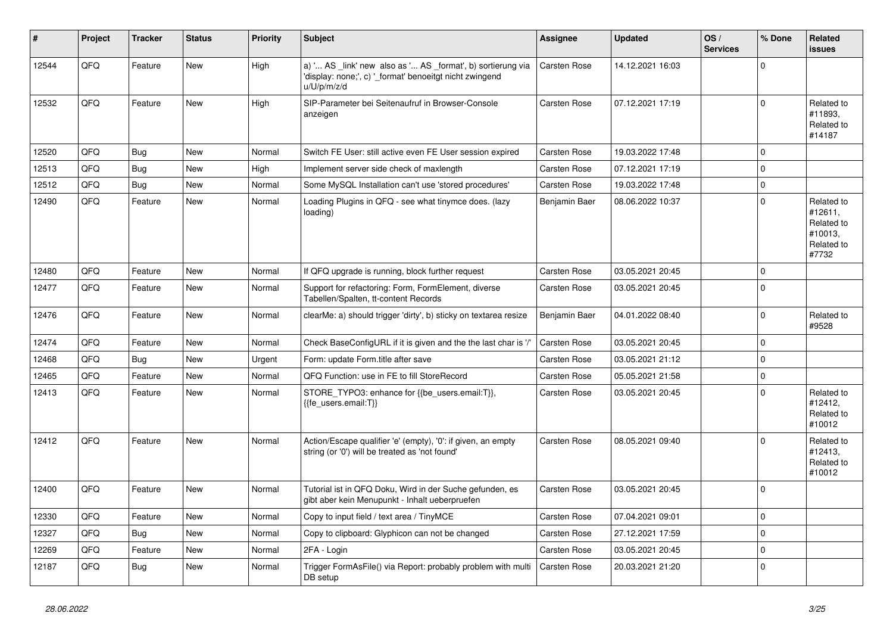| #     | Project | <b>Tracker</b> | <b>Status</b> | <b>Priority</b> | <b>Subject</b>                                                                                                                        | Assignee            | <b>Updated</b>   | OS/<br><b>Services</b> | % Done         | Related<br><b>issues</b>                                              |
|-------|---------|----------------|---------------|-----------------|---------------------------------------------------------------------------------------------------------------------------------------|---------------------|------------------|------------------------|----------------|-----------------------------------------------------------------------|
| 12544 | QFQ     | Feature        | <b>New</b>    | High            | a) ' AS _link' new also as ' AS _format', b) sortierung via<br>'display: none;', c) '_format' benoeitgt nicht zwingend<br>u/U/p/m/z/d | <b>Carsten Rose</b> | 14.12.2021 16:03 |                        | $\overline{0}$ |                                                                       |
| 12532 | QFQ     | Feature        | New           | High            | SIP-Parameter bei Seitenaufruf in Browser-Console<br>anzeigen                                                                         | Carsten Rose        | 07.12.2021 17:19 |                        | $\Omega$       | Related to<br>#11893.<br>Related to<br>#14187                         |
| 12520 | QFQ     | <b>Bug</b>     | New           | Normal          | Switch FE User: still active even FE User session expired                                                                             | Carsten Rose        | 19.03.2022 17:48 |                        | $\overline{0}$ |                                                                       |
| 12513 | QFQ     | Bug            | <b>New</b>    | High            | Implement server side check of maxlength                                                                                              | <b>Carsten Rose</b> | 07.12.2021 17:19 |                        | $\mathbf 0$    |                                                                       |
| 12512 | QFQ     | Bug            | <b>New</b>    | Normal          | Some MySQL Installation can't use 'stored procedures'                                                                                 | Carsten Rose        | 19.03.2022 17:48 |                        | $\overline{0}$ |                                                                       |
| 12490 | QFQ     | Feature        | New           | Normal          | Loading Plugins in QFQ - see what tinymce does. (lazy<br>loading)                                                                     | Benjamin Baer       | 08.06.2022 10:37 |                        | $\overline{0}$ | Related to<br>#12611,<br>Related to<br>#10013,<br>Related to<br>#7732 |
| 12480 | QFQ     | Feature        | <b>New</b>    | Normal          | If QFQ upgrade is running, block further request                                                                                      | <b>Carsten Rose</b> | 03.05.2021 20:45 |                        | $\overline{0}$ |                                                                       |
| 12477 | QFQ     | Feature        | <b>New</b>    | Normal          | Support for refactoring: Form, FormElement, diverse<br>Tabellen/Spalten, tt-content Records                                           | <b>Carsten Rose</b> | 03.05.2021 20:45 |                        | $\overline{0}$ |                                                                       |
| 12476 | QFQ     | Feature        | New           | Normal          | clearMe: a) should trigger 'dirty', b) sticky on textarea resize                                                                      | Benjamin Baer       | 04.01.2022 08:40 |                        | $\overline{0}$ | Related to<br>#9528                                                   |
| 12474 | QFQ     | Feature        | New           | Normal          | Check BaseConfigURL if it is given and the the last char is '/'                                                                       | Carsten Rose        | 03.05.2021 20:45 |                        | $\overline{0}$ |                                                                       |
| 12468 | QFQ     | Bug            | New           | Urgent          | Form: update Form.title after save                                                                                                    | Carsten Rose        | 03.05.2021 21:12 |                        | $\overline{0}$ |                                                                       |
| 12465 | QFQ     | Feature        | <b>New</b>    | Normal          | QFQ Function: use in FE to fill StoreRecord                                                                                           | Carsten Rose        | 05.05.2021 21:58 |                        | $\overline{0}$ |                                                                       |
| 12413 | QFQ     | Feature        | <b>New</b>    | Normal          | STORE_TYPO3: enhance for {{be_users.email:T}},<br>{{fe users.email:T}}                                                                | <b>Carsten Rose</b> | 03.05.2021 20:45 |                        | $\overline{0}$ | Related to<br>#12412,<br>Related to<br>#10012                         |
| 12412 | QFQ     | Feature        | <b>New</b>    | Normal          | Action/Escape qualifier 'e' (empty), '0': if given, an empty<br>string (or '0') will be treated as 'not found'                        | Carsten Rose        | 08.05.2021 09:40 |                        | $\overline{0}$ | Related to<br>#12413,<br>Related to<br>#10012                         |
| 12400 | QFQ     | Feature        | <b>New</b>    | Normal          | Tutorial ist in QFQ Doku, Wird in der Suche gefunden, es<br>gibt aber kein Menupunkt - Inhalt ueberpruefen                            | Carsten Rose        | 03.05.2021 20:45 |                        | $\overline{0}$ |                                                                       |
| 12330 | QFQ     | Feature        | <b>New</b>    | Normal          | Copy to input field / text area / TinyMCE                                                                                             | Carsten Rose        | 07.04.2021 09:01 |                        | $\overline{0}$ |                                                                       |
| 12327 | QFQ     | Bug            | <b>New</b>    | Normal          | Copy to clipboard: Glyphicon can not be changed                                                                                       | <b>Carsten Rose</b> | 27.12.2021 17:59 |                        | $\overline{0}$ |                                                                       |
| 12269 | QFQ     | Feature        | <b>New</b>    | Normal          | 2FA - Login                                                                                                                           | Carsten Rose        | 03.05.2021 20:45 |                        | $\overline{0}$ |                                                                       |
| 12187 | QFQ     | Bug            | <b>New</b>    | Normal          | Trigger FormAsFile() via Report: probably problem with multi<br>DB setup                                                              | Carsten Rose        | 20.03.2021 21:20 |                        | $\overline{0}$ |                                                                       |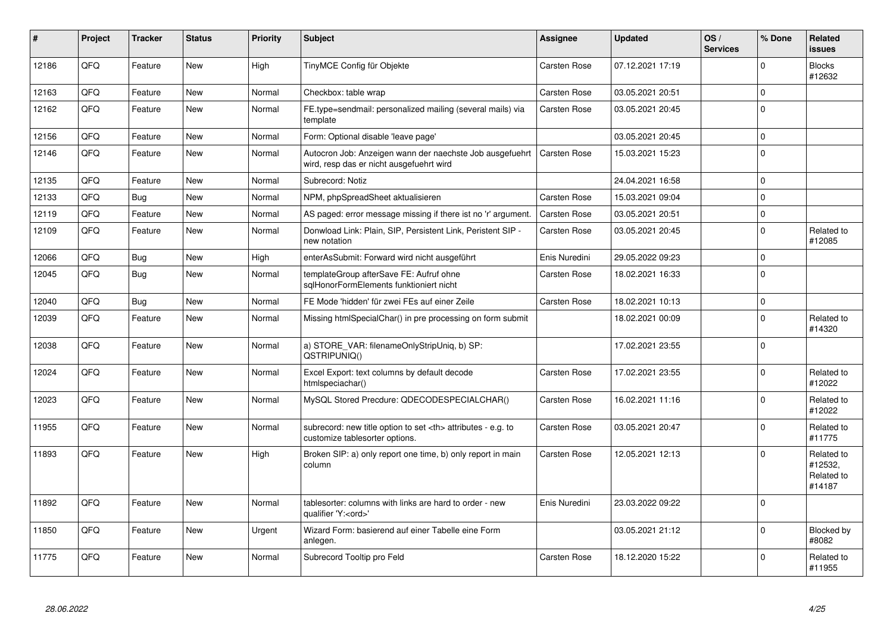| #     | <b>Project</b> | <b>Tracker</b> | <b>Status</b> | <b>Priority</b> | <b>Subject</b>                                                                                       | Assignee                                               | <b>Updated</b>   | OS/<br><b>Services</b> | % Done      | Related<br><b>issues</b>                      |                      |
|-------|----------------|----------------|---------------|-----------------|------------------------------------------------------------------------------------------------------|--------------------------------------------------------|------------------|------------------------|-------------|-----------------------------------------------|----------------------|
| 12186 | QFQ            | Feature        | <b>New</b>    | High            | TinyMCE Config für Objekte                                                                           | Carsten Rose                                           | 07.12.2021 17:19 |                        | $\Omega$    | <b>Blocks</b><br>#12632                       |                      |
| 12163 | QFQ            | Feature        | <b>New</b>    | Normal          | Checkbox: table wrap                                                                                 | <b>Carsten Rose</b>                                    | 03.05.2021 20:51 |                        | $\mathbf 0$ |                                               |                      |
| 12162 | QFQ            | Feature        | New           | Normal          | FE.type=sendmail: personalized mailing (several mails) via<br>template                               | Carsten Rose                                           | 03.05.2021 20:45 |                        | $\mathbf 0$ |                                               |                      |
| 12156 | QFQ            | Feature        | <b>New</b>    | Normal          | Form: Optional disable 'leave page'                                                                  |                                                        | 03.05.2021 20:45 |                        | $\mathbf 0$ |                                               |                      |
| 12146 | QFQ            | Feature        | New           | Normal          | Autocron Job: Anzeigen wann der naechste Job ausgefuehrt<br>wird, resp das er nicht ausgefuehrt wird | <b>Carsten Rose</b>                                    | 15.03.2021 15:23 |                        | $\mathbf 0$ |                                               |                      |
| 12135 | QFQ            | Feature        | New           | Normal          | Subrecord: Notiz                                                                                     |                                                        | 24.04.2021 16:58 |                        | $\mathbf 0$ |                                               |                      |
| 12133 | QFQ            | Bug            | <b>New</b>    | Normal          | NPM, phpSpreadSheet aktualisieren                                                                    | Carsten Rose                                           | 15.03.2021 09:04 |                        | $\mathbf 0$ |                                               |                      |
| 12119 | QFQ            | Feature        | New           | Normal          | AS paged: error message missing if there ist no 'r' argument.                                        | Carsten Rose                                           | 03.05.2021 20:51 |                        | $\mathbf 0$ |                                               |                      |
| 12109 | QFQ            | Feature        | New           | Normal          | Donwload Link: Plain, SIP, Persistent Link, Peristent SIP -<br>new notation                          | Carsten Rose                                           | 03.05.2021 20:45 |                        | $\mathbf 0$ | Related to<br>#12085                          |                      |
| 12066 | QFQ            | <b>Bug</b>     | <b>New</b>    | High            | enterAsSubmit: Forward wird nicht ausgeführt                                                         | Enis Nuredini                                          | 29.05.2022 09:23 |                        | $\mathbf 0$ |                                               |                      |
| 12045 | QFQ            | Bug            | New           | Normal          | templateGroup afterSave FE: Aufruf ohne<br>sqlHonorFormElements funktioniert nicht                   | <b>Carsten Rose</b>                                    | 18.02.2021 16:33 |                        | $\mathbf 0$ |                                               |                      |
| 12040 | QFQ            | Bug            | <b>New</b>    | Normal          | FE Mode 'hidden' für zwei FEs auf einer Zeile                                                        | <b>Carsten Rose</b>                                    | 18.02.2021 10:13 |                        | $\mathbf 0$ |                                               |                      |
| 12039 | QFQ            | Feature        | New           | Normal          | Missing htmlSpecialChar() in pre processing on form submit                                           |                                                        | 18.02.2021 00:09 |                        | $\mathbf 0$ | Related to<br>#14320                          |                      |
| 12038 | QFQ            | Feature        | New           | Normal          | a) STORE VAR: filenameOnlyStripUniq, b) SP:<br>QSTRIPUNIQ()                                          |                                                        | 17.02.2021 23:55 |                        | $\mathbf 0$ |                                               |                      |
| 12024 | QFQ            | Feature        | New           | Normal          | Excel Export: text columns by default decode<br>htmlspeciachar()                                     | Carsten Rose                                           | 17.02.2021 23:55 |                        | $\mathbf 0$ | Related to<br>#12022                          |                      |
| 12023 | QFQ            | Feature        | New           | Normal          | MySQL Stored Precdure: QDECODESPECIALCHAR()                                                          | <b>Carsten Rose</b>                                    | 16.02.2021 11:16 |                        | $\Omega$    | Related to<br>#12022                          |                      |
| 11955 | QFQ            | Feature        | New           | Normal          | subrecord: new title option to set <th> attributes - e.g. to<br/>customize tablesorter options.</th> | attributes - e.g. to<br>customize tablesorter options. | Carsten Rose     | 03.05.2021 20:47       |             | $\mathbf 0$                                   | Related to<br>#11775 |
| 11893 | QFQ            | Feature        | <b>New</b>    | High            | Broken SIP: a) only report one time, b) only report in main<br>column                                | Carsten Rose                                           | 12.05.2021 12:13 |                        | $\Omega$    | Related to<br>#12532,<br>Related to<br>#14187 |                      |
| 11892 | QFQ            | Feature        | <b>New</b>    | Normal          | tablesorter: columns with links are hard to order - new<br>qualifier 'Y: <ord>'</ord>                | Enis Nuredini                                          | 23.03.2022 09:22 |                        | $\mathbf 0$ |                                               |                      |
| 11850 | QFQ            | Feature        | New           | Urgent          | Wizard Form: basierend auf einer Tabelle eine Form<br>anlegen.                                       |                                                        | 03.05.2021 21:12 |                        | $\Omega$    | Blocked by<br>#8082                           |                      |
| 11775 | QFQ            | Feature        | <b>New</b>    | Normal          | Subrecord Tooltip pro Feld                                                                           | Carsten Rose                                           | 18.12.2020 15:22 |                        | $\Omega$    | Related to<br>#11955                          |                      |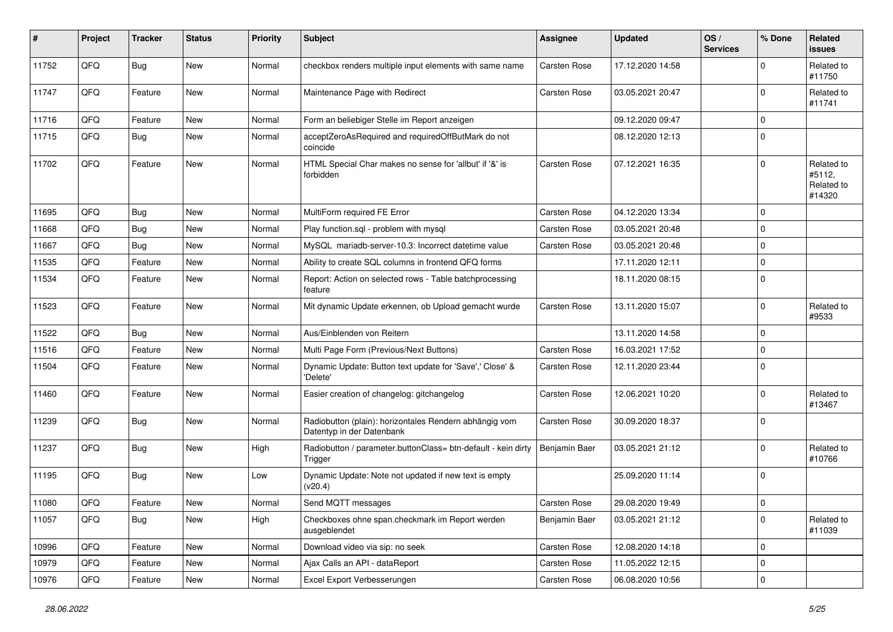| $\sharp$ | Project | <b>Tracker</b> | <b>Status</b> | <b>Priority</b> | <b>Subject</b>                                                                      | <b>Assignee</b>     | <b>Updated</b>   | OS/<br><b>Services</b> | % Done      | Related<br><b>issues</b>                     |
|----------|---------|----------------|---------------|-----------------|-------------------------------------------------------------------------------------|---------------------|------------------|------------------------|-------------|----------------------------------------------|
| 11752    | QFQ     | Bug            | New           | Normal          | checkbox renders multiple input elements with same name                             | Carsten Rose        | 17.12.2020 14:58 |                        | $\Omega$    | Related to<br>#11750                         |
| 11747    | QFQ     | Feature        | New           | Normal          | Maintenance Page with Redirect                                                      | <b>Carsten Rose</b> | 03.05.2021 20:47 |                        | $\mathbf 0$ | Related to<br>#11741                         |
| 11716    | QFQ     | Feature        | <b>New</b>    | Normal          | Form an beliebiger Stelle im Report anzeigen                                        |                     | 09.12.2020 09:47 |                        | $\mathbf 0$ |                                              |
| 11715    | QFQ     | <b>Bug</b>     | <b>New</b>    | Normal          | acceptZeroAsRequired and requiredOffButMark do not<br>coincide                      |                     | 08.12.2020 12:13 |                        | $\Omega$    |                                              |
| 11702    | QFQ     | Feature        | <b>New</b>    | Normal          | HTML Special Char makes no sense for 'allbut' if '&' is<br>forbidden                | Carsten Rose        | 07.12.2021 16:35 |                        | $\Omega$    | Related to<br>#5112,<br>Related to<br>#14320 |
| 11695    | QFQ     | Bug            | <b>New</b>    | Normal          | MultiForm required FE Error                                                         | <b>Carsten Rose</b> | 04.12.2020 13:34 |                        | $\mathbf 0$ |                                              |
| 11668    | QFQ     | Bug            | <b>New</b>    | Normal          | Play function.sql - problem with mysql                                              | <b>Carsten Rose</b> | 03.05.2021 20:48 |                        | $\mathbf 0$ |                                              |
| 11667    | QFQ     | <b>Bug</b>     | <b>New</b>    | Normal          | MySQL mariadb-server-10.3: Incorrect datetime value                                 | <b>Carsten Rose</b> | 03.05.2021 20:48 |                        | $\mathbf 0$ |                                              |
| 11535    | QFQ     | Feature        | <b>New</b>    | Normal          | Ability to create SQL columns in frontend QFQ forms                                 |                     | 17.11.2020 12:11 |                        | $\mathbf 0$ |                                              |
| 11534    | QFQ     | Feature        | New           | Normal          | Report: Action on selected rows - Table batchprocessing<br>feature                  |                     | 18.11.2020 08:15 |                        | $\Omega$    |                                              |
| 11523    | QFQ     | Feature        | <b>New</b>    | Normal          | Mit dynamic Update erkennen, ob Upload gemacht wurde                                | <b>Carsten Rose</b> | 13.11.2020 15:07 |                        | $\mathbf 0$ | Related to<br>#9533                          |
| 11522    | QFQ     | Bug            | <b>New</b>    | Normal          | Aus/Einblenden von Reitern                                                          |                     | 13.11.2020 14:58 |                        | $\mathbf 0$ |                                              |
| 11516    | QFQ     | Feature        | <b>New</b>    | Normal          | Multi Page Form (Previous/Next Buttons)                                             | <b>Carsten Rose</b> | 16.03.2021 17:52 |                        | $\mathbf 0$ |                                              |
| 11504    | QFQ     | Feature        | New           | Normal          | Dynamic Update: Button text update for 'Save',' Close' &<br>'Delete'                | <b>Carsten Rose</b> | 12.11.2020 23:44 |                        | $\mathbf 0$ |                                              |
| 11460    | QFQ     | Feature        | <b>New</b>    | Normal          | Easier creation of changelog: gitchangelog                                          | <b>Carsten Rose</b> | 12.06.2021 10:20 |                        | $\mathbf 0$ | Related to<br>#13467                         |
| 11239    | QFQ     | Bug            | New           | Normal          | Radiobutton (plain): horizontales Rendern abhängig vom<br>Datentyp in der Datenbank | <b>Carsten Rose</b> | 30.09.2020 18:37 |                        | $\mathbf 0$ |                                              |
| 11237    | QFQ     | Bug            | <b>New</b>    | High            | Radiobutton / parameter.buttonClass= btn-default - kein dirty<br>Trigger            | Benjamin Baer       | 03.05.2021 21:12 |                        | $\mathbf 0$ | Related to<br>#10766                         |
| 11195    | QFQ     | Bug            | <b>New</b>    | Low             | Dynamic Update: Note not updated if new text is empty<br>(v20.4)                    |                     | 25.09.2020 11:14 |                        | $\mathbf 0$ |                                              |
| 11080    | QFQ     | Feature        | New           | Normal          | Send MQTT messages                                                                  | <b>Carsten Rose</b> | 29.08.2020 19:49 |                        | $\pmb{0}$   |                                              |
| 11057    | QFQ     | Bug            | New           | High            | Checkboxes ohne span.checkmark im Report werden<br>ausgeblendet                     | Benjamin Baer       | 03.05.2021 21:12 |                        | 0           | Related to<br>#11039                         |
| 10996    | QFQ     | Feature        | New           | Normal          | Download video via sip: no seek                                                     | Carsten Rose        | 12.08.2020 14:18 |                        | 0           |                                              |
| 10979    | QFQ     | Feature        | New           | Normal          | Ajax Calls an API - dataReport                                                      | Carsten Rose        | 11.05.2022 12:15 |                        | $\pmb{0}$   |                                              |
| 10976    | QFQ     | Feature        | New           | Normal          | Excel Export Verbesserungen                                                         | Carsten Rose        | 06.08.2020 10:56 |                        | $\pmb{0}$   |                                              |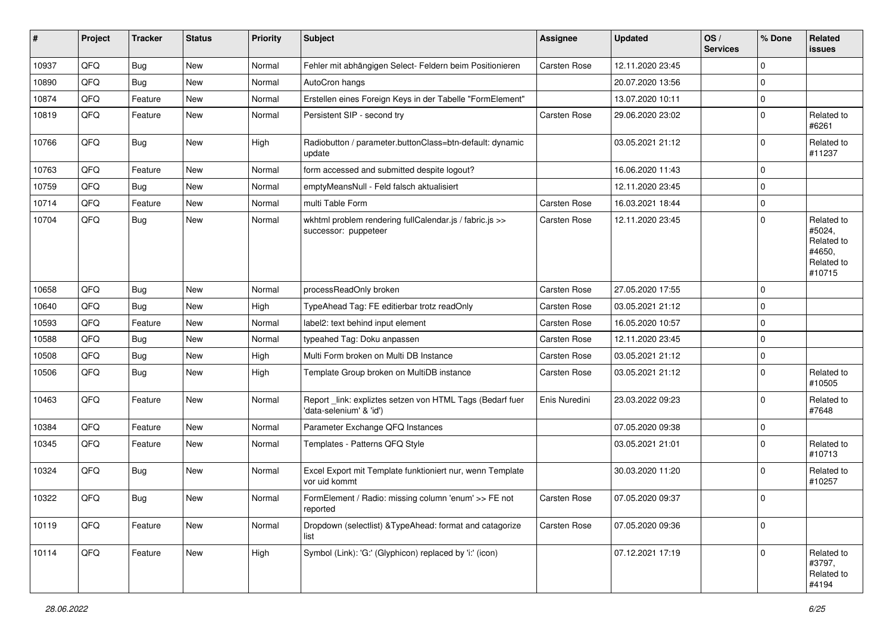| #     | Project | <b>Tracker</b> | <b>Status</b> | <b>Priority</b> | <b>Subject</b>                                                                      | Assignee            | <b>Updated</b>   | OS/<br><b>Services</b> | % Done      | Related<br><b>issues</b>                                             |
|-------|---------|----------------|---------------|-----------------|-------------------------------------------------------------------------------------|---------------------|------------------|------------------------|-------------|----------------------------------------------------------------------|
| 10937 | QFQ     | <b>Bug</b>     | <b>New</b>    | Normal          | Fehler mit abhängigen Select- Feldern beim Positionieren                            | Carsten Rose        | 12.11.2020 23:45 |                        | $\mathbf 0$ |                                                                      |
| 10890 | QFQ     | Bug            | <b>New</b>    | Normal          | AutoCron hangs                                                                      |                     | 20.07.2020 13:56 |                        | $\mathbf 0$ |                                                                      |
| 10874 | QFQ     | Feature        | New           | Normal          | Erstellen eines Foreign Keys in der Tabelle "FormElement"                           |                     | 13.07.2020 10:11 |                        | 0           |                                                                      |
| 10819 | QFQ     | Feature        | <b>New</b>    | Normal          | Persistent SIP - second try                                                         | <b>Carsten Rose</b> | 29.06.2020 23:02 |                        | $\mathbf 0$ | Related to<br>#6261                                                  |
| 10766 | QFQ     | Bug            | <b>New</b>    | High            | Radiobutton / parameter.buttonClass=btn-default: dynamic<br>update                  |                     | 03.05.2021 21:12 |                        | $\mathbf 0$ | Related to<br>#11237                                                 |
| 10763 | QFQ     | Feature        | <b>New</b>    | Normal          | form accessed and submitted despite logout?                                         |                     | 16.06.2020 11:43 |                        | $\mathbf 0$ |                                                                      |
| 10759 | QFQ     | <b>Bug</b>     | <b>New</b>    | Normal          | emptyMeansNull - Feld falsch aktualisiert                                           |                     | 12.11.2020 23:45 |                        | $\mathbf 0$ |                                                                      |
| 10714 | QFQ     | Feature        | <b>New</b>    | Normal          | multi Table Form                                                                    | Carsten Rose        | 16.03.2021 18:44 |                        | 0           |                                                                      |
| 10704 | QFQ     | Bug            | New           | Normal          | wkhtml problem rendering fullCalendar.js / fabric.js >><br>successor: puppeteer     | Carsten Rose        | 12.11.2020 23:45 |                        | 0           | Related to<br>#5024,<br>Related to<br>#4650,<br>Related to<br>#10715 |
| 10658 | QFQ     | Bug            | <b>New</b>    | Normal          | processReadOnly broken                                                              | <b>Carsten Rose</b> | 27.05.2020 17:55 |                        | $\mathbf 0$ |                                                                      |
| 10640 | QFQ     | Bug            | New           | High            | TypeAhead Tag: FE editierbar trotz readOnly                                         | <b>Carsten Rose</b> | 03.05.2021 21:12 |                        | $\mathbf 0$ |                                                                      |
| 10593 | QFQ     | Feature        | New           | Normal          | label2: text behind input element                                                   | <b>Carsten Rose</b> | 16.05.2020 10:57 |                        | $\mathbf 0$ |                                                                      |
| 10588 | QFQ     | <b>Bug</b>     | <b>New</b>    | Normal          | typeahed Tag: Doku anpassen                                                         | <b>Carsten Rose</b> | 12.11.2020 23:45 |                        | $\mathbf 0$ |                                                                      |
| 10508 | QFQ     | Bug            | <b>New</b>    | High            | Multi Form broken on Multi DB Instance                                              | <b>Carsten Rose</b> | 03.05.2021 21:12 |                        | $\mathbf 0$ |                                                                      |
| 10506 | QFQ     | Bug            | New           | High            | Template Group broken on MultiDB instance                                           | Carsten Rose        | 03.05.2021 21:12 |                        | $\mathbf 0$ | Related to<br>#10505                                                 |
| 10463 | QFQ     | Feature        | <b>New</b>    | Normal          | Report_link: expliztes setzen von HTML Tags (Bedarf fuer<br>'data-selenium' & 'id') | Enis Nuredini       | 23.03.2022 09:23 |                        | 0           | Related to<br>#7648                                                  |
| 10384 | QFQ     | Feature        | New           | Normal          | Parameter Exchange QFQ Instances                                                    |                     | 07.05.2020 09:38 |                        | $\mathbf 0$ |                                                                      |
| 10345 | QFQ     | Feature        | New           | Normal          | Templates - Patterns QFQ Style                                                      |                     | 03.05.2021 21:01 |                        | $\Omega$    | Related to<br>#10713                                                 |
| 10324 | QFQ     | Bug            | <b>New</b>    | Normal          | Excel Export mit Template funktioniert nur, wenn Template<br>vor uid kommt          |                     | 30.03.2020 11:20 |                        | $\mathbf 0$ | Related to<br>#10257                                                 |
| 10322 | QFQ     | Bug            | <b>New</b>    | Normal          | FormElement / Radio: missing column 'enum' >> FE not<br>reported                    | <b>Carsten Rose</b> | 07.05.2020 09:37 |                        | 0           |                                                                      |
| 10119 | QFQ     | Feature        | <b>New</b>    | Normal          | Dropdown (selectlist) & TypeAhead: format and catagorize<br>list                    | Carsten Rose        | 07.05.2020 09:36 |                        | 0           |                                                                      |
| 10114 | QFQ     | Feature        | New           | High            | Symbol (Link): 'G:' (Glyphicon) replaced by 'i:' (icon)                             |                     | 07.12.2021 17:19 |                        | $\mathbf 0$ | Related to<br>#3797,<br>Related to<br>#4194                          |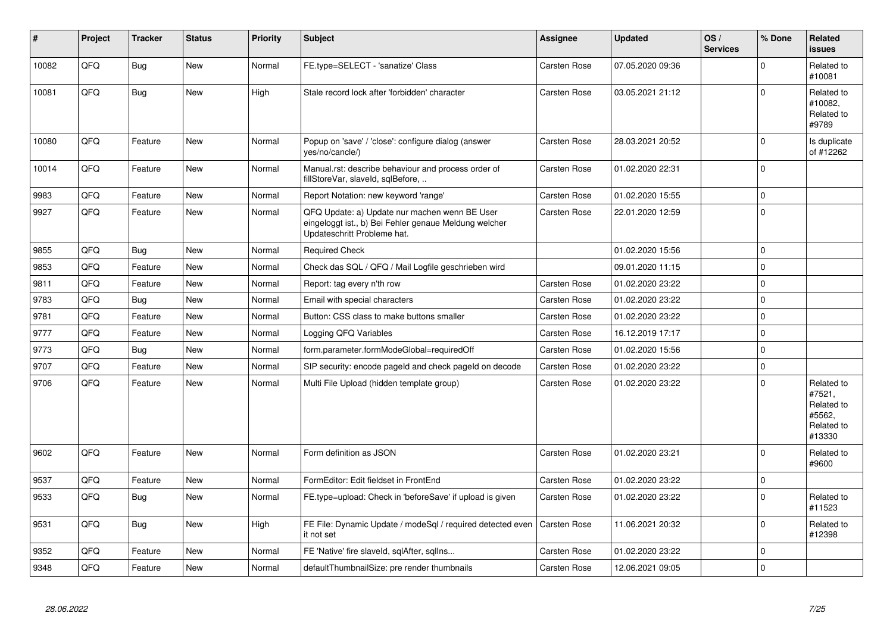| #     | Project    | <b>Tracker</b> | <b>Status</b> | <b>Priority</b> | <b>Subject</b>                                                                                                                        | <b>Assignee</b>     | <b>Updated</b>   | OS/<br><b>Services</b> | % Done      | Related<br><b>issues</b>                                             |
|-------|------------|----------------|---------------|-----------------|---------------------------------------------------------------------------------------------------------------------------------------|---------------------|------------------|------------------------|-------------|----------------------------------------------------------------------|
| 10082 | QFQ        | Bug            | <b>New</b>    | Normal          | FE.type=SELECT - 'sanatize' Class                                                                                                     | Carsten Rose        | 07.05.2020 09:36 |                        | $\Omega$    | Related to<br>#10081                                                 |
| 10081 | QFQ        | Bug            | <b>New</b>    | High            | Stale record lock after 'forbidden' character                                                                                         | Carsten Rose        | 03.05.2021 21:12 |                        | $\Omega$    | Related to<br>#10082,<br>Related to<br>#9789                         |
| 10080 | QFQ        | Feature        | New           | Normal          | Popup on 'save' / 'close': configure dialog (answer<br>yes/no/cancle/)                                                                | Carsten Rose        | 28.03.2021 20:52 |                        | $\Omega$    | Is duplicate<br>of #12262                                            |
| 10014 | QFQ        | Feature        | New           | Normal          | Manual.rst: describe behaviour and process order of<br>fillStoreVar, slaveId, sqlBefore,                                              | Carsten Rose        | 01.02.2020 22:31 |                        | $\mathbf 0$ |                                                                      |
| 9983  | QFQ        | Feature        | <b>New</b>    | Normal          | Report Notation: new keyword 'range'                                                                                                  | <b>Carsten Rose</b> | 01.02.2020 15:55 |                        | $\mathbf 0$ |                                                                      |
| 9927  | QFQ        | Feature        | New           | Normal          | QFQ Update: a) Update nur machen wenn BE User<br>eingeloggt ist., b) Bei Fehler genaue Meldung welcher<br>Updateschritt Probleme hat. | Carsten Rose        | 22.01.2020 12:59 |                        | $\pmb{0}$   |                                                                      |
| 9855  | QFQ        | Bug            | <b>New</b>    | Normal          | <b>Required Check</b>                                                                                                                 |                     | 01.02.2020 15:56 |                        | $\mathbf 0$ |                                                                      |
| 9853  | QFQ        | Feature        | <b>New</b>    | Normal          | Check das SQL / QFQ / Mail Logfile geschrieben wird                                                                                   |                     | 09.01.2020 11:15 |                        | $\mathbf 0$ |                                                                      |
| 9811  | <b>OFO</b> | Feature        | <b>New</b>    | Normal          | Report: tag every n'th row                                                                                                            | Carsten Rose        | 01.02.2020 23:22 |                        | $\Omega$    |                                                                      |
| 9783  | QFQ        | Bug            | <b>New</b>    | Normal          | Email with special characters                                                                                                         | Carsten Rose        | 01.02.2020 23:22 |                        | $\mathbf 0$ |                                                                      |
| 9781  | QFQ        | Feature        | New           | Normal          | Button: CSS class to make buttons smaller                                                                                             | Carsten Rose        | 01.02.2020 23:22 |                        | $\pmb{0}$   |                                                                      |
| 9777  | QFQ        | Feature        | <b>New</b>    | Normal          | Logging QFQ Variables                                                                                                                 | <b>Carsten Rose</b> | 16.12.2019 17:17 |                        | $\mathbf 0$ |                                                                      |
| 9773  | QFQ        | <b>Bug</b>     | <b>New</b>    | Normal          | form.parameter.formModeGlobal=requiredOff                                                                                             | Carsten Rose        | 01.02.2020 15:56 |                        | $\mathbf 0$ |                                                                      |
| 9707  | QFQ        | Feature        | New           | Normal          | SIP security: encode pageld and check pageld on decode                                                                                | Carsten Rose        | 01.02.2020 23:22 |                        | $\pmb{0}$   |                                                                      |
| 9706  | QFQ        | Feature        | <b>New</b>    | Normal          | Multi File Upload (hidden template group)                                                                                             | Carsten Rose        | 01.02.2020 23:22 |                        | $\Omega$    | Related to<br>#7521,<br>Related to<br>#5562,<br>Related to<br>#13330 |
| 9602  | QFQ        | Feature        | <b>New</b>    | Normal          | Form definition as JSON                                                                                                               | <b>Carsten Rose</b> | 01.02.2020 23:21 |                        | $\mathbf 0$ | Related to<br>#9600                                                  |
| 9537  | QFQ        | Feature        | <b>New</b>    | Normal          | FormEditor: Edit fieldset in FrontEnd                                                                                                 | <b>Carsten Rose</b> | 01.02.2020 23:22 |                        | $\mathbf 0$ |                                                                      |
| 9533  | QFQ        | Bug            | <b>New</b>    | Normal          | FE.type=upload: Check in 'beforeSave' if upload is given                                                                              | <b>Carsten Rose</b> | 01.02.2020 23:22 |                        | $\Omega$    | Related to<br>#11523                                                 |
| 9531  | QFQ        | Bug            | <b>New</b>    | High            | FE File: Dynamic Update / modeSql / required detected even<br>it not set                                                              | <b>Carsten Rose</b> | 11.06.2021 20:32 |                        | $\mathbf 0$ | Related to<br>#12398                                                 |
| 9352  | QFQ        | Feature        | <b>New</b>    | Normal          | FE 'Native' fire slaveld, sqlAfter, sqllns                                                                                            | Carsten Rose        | 01.02.2020 23:22 |                        | $\mathbf 0$ |                                                                      |
| 9348  | QFQ        | Feature        | <b>New</b>    | Normal          | defaultThumbnailSize: pre render thumbnails                                                                                           | Carsten Rose        | 12.06.2021 09:05 |                        | $\mathbf 0$ |                                                                      |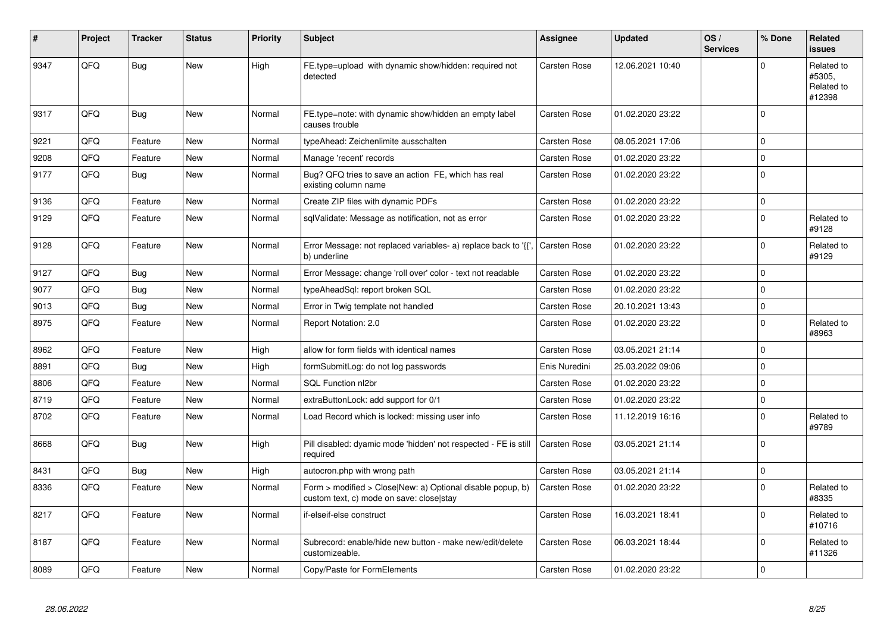| #    | Project | <b>Tracker</b> | <b>Status</b> | <b>Priority</b> | <b>Subject</b>                                                                                             | <b>Assignee</b>     | <b>Updated</b>   | OS/<br><b>Services</b> | % Done              | <b>Related</b><br><b>issues</b>              |
|------|---------|----------------|---------------|-----------------|------------------------------------------------------------------------------------------------------------|---------------------|------------------|------------------------|---------------------|----------------------------------------------|
| 9347 | QFQ     | Bug            | <b>New</b>    | High            | FE.type=upload with dynamic show/hidden: required not<br>detected                                          | Carsten Rose        | 12.06.2021 10:40 |                        | $\Omega$            | Related to<br>#5305,<br>Related to<br>#12398 |
| 9317 | QFQ     | Bug            | <b>New</b>    | Normal          | FE.type=note: with dynamic show/hidden an empty label<br>causes trouble                                    | Carsten Rose        | 01.02.2020 23:22 |                        | $\mathbf 0$         |                                              |
| 9221 | QFQ     | Feature        | <b>New</b>    | Normal          | typeAhead: Zeichenlimite ausschalten                                                                       | Carsten Rose        | 08.05.2021 17:06 |                        | $\mathbf 0$         |                                              |
| 9208 | QFQ     | Feature        | <b>New</b>    | Normal          | Manage 'recent' records                                                                                    | Carsten Rose        | 01.02.2020 23:22 |                        | $\mathbf 0$         |                                              |
| 9177 | QFQ     | <b>Bug</b>     | <b>New</b>    | Normal          | Bug? QFQ tries to save an action FE, which has real<br>existing column name                                | Carsten Rose        | 01.02.2020 23:22 |                        | $\mathbf 0$         |                                              |
| 9136 | QFQ     | Feature        | <b>New</b>    | Normal          | Create ZIP files with dynamic PDFs                                                                         | Carsten Rose        | 01.02.2020 23:22 |                        | $\mathbf 0$         |                                              |
| 9129 | QFQ     | Feature        | New           | Normal          | sqlValidate: Message as notification, not as error                                                         | Carsten Rose        | 01.02.2020 23:22 |                        | $\mathbf 0$         | Related to<br>#9128                          |
| 9128 | QFQ     | Feature        | <b>New</b>    | Normal          | Error Message: not replaced variables- a) replace back to '{',<br>b) underline                             | Carsten Rose        | 01.02.2020 23:22 |                        | $\mathbf 0$         | Related to<br>#9129                          |
| 9127 | QFQ     | Bug            | New           | Normal          | Error Message: change 'roll over' color - text not readable                                                | Carsten Rose        | 01.02.2020 23:22 |                        | $\mathbf 0$         |                                              |
| 9077 | QFQ     | Bug            | <b>New</b>    | Normal          | typeAheadSql: report broken SQL                                                                            | Carsten Rose        | 01.02.2020 23:22 |                        | $\mathbf 0$         |                                              |
| 9013 | QFQ     | <b>Bug</b>     | <b>New</b>    | Normal          | Error in Twig template not handled                                                                         | Carsten Rose        | 20.10.2021 13:43 |                        | $\mathbf 0$         |                                              |
| 8975 | QFQ     | Feature        | New           | Normal          | Report Notation: 2.0                                                                                       | Carsten Rose        | 01.02.2020 23:22 |                        | $\mathbf 0$         | Related to<br>#8963                          |
| 8962 | QFQ     | Feature        | <b>New</b>    | High            | allow for form fields with identical names                                                                 | Carsten Rose        | 03.05.2021 21:14 |                        | $\mathbf 0$         |                                              |
| 8891 | QFQ     | <b>Bug</b>     | <b>New</b>    | High            | formSubmitLog: do not log passwords                                                                        | Enis Nuredini       | 25.03.2022 09:06 |                        | $\mathbf 0$         |                                              |
| 8806 | QFQ     | Feature        | <b>New</b>    | Normal          | SQL Function nl2br                                                                                         | Carsten Rose        | 01.02.2020 23:22 |                        | $\mathbf 0$         |                                              |
| 8719 | QFQ     | Feature        | <b>New</b>    | Normal          | extraButtonLock: add support for 0/1                                                                       | Carsten Rose        | 01.02.2020 23:22 |                        | $\mathbf 0$         |                                              |
| 8702 | QFQ     | Feature        | <b>New</b>    | Normal          | Load Record which is locked: missing user info                                                             | Carsten Rose        | 11.12.2019 16:16 |                        | $\mathbf 0$         | Related to<br>#9789                          |
| 8668 | QFQ     | Bug            | <b>New</b>    | High            | Pill disabled: dyamic mode 'hidden' not respected - FE is still<br>required                                | Carsten Rose        | 03.05.2021 21:14 |                        | $\Omega$            |                                              |
| 8431 | QFQ     | Bug            | <b>New</b>    | High            | autocron.php with wrong path                                                                               | Carsten Rose        | 03.05.2021 21:14 |                        | $\mathsf{O}\xspace$ |                                              |
| 8336 | QFQ     | Feature        | <b>New</b>    | Normal          | Form $>$ modified $>$ Close New: a) Optional disable popup, b)<br>custom text, c) mode on save: close stay | Carsten Rose        | 01.02.2020 23:22 |                        | $\mathbf 0$         | Related to<br>#8335                          |
| 8217 | QFQ     | Feature        | <b>New</b>    | Normal          | if-elseif-else construct                                                                                   | Carsten Rose        | 16.03.2021 18:41 |                        | $\mathbf 0$         | Related to<br>#10716                         |
| 8187 | QFQ     | Feature        | New           | Normal          | Subrecord: enable/hide new button - make new/edit/delete<br>customizeable.                                 | Carsten Rose        | 06.03.2021 18:44 |                        | $\mathbf 0$         | Related to<br>#11326                         |
| 8089 | QFQ     | Feature        | New           | Normal          | Copy/Paste for FormElements                                                                                | <b>Carsten Rose</b> | 01.02.2020 23:22 |                        | $\mathbf 0$         |                                              |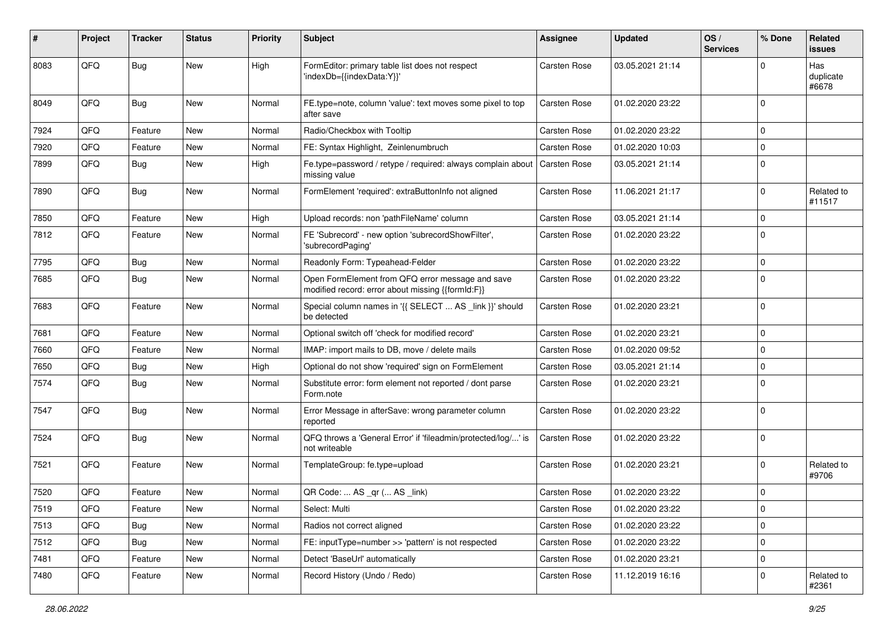| #    | Project | <b>Tracker</b> | <b>Status</b> | <b>Priority</b> | Subject                                                                                               | <b>Assignee</b>     | <b>Updated</b>   | OS/<br><b>Services</b> | % Done      | Related<br><b>issues</b>  |
|------|---------|----------------|---------------|-----------------|-------------------------------------------------------------------------------------------------------|---------------------|------------------|------------------------|-------------|---------------------------|
| 8083 | QFQ     | Bug            | New           | High            | FormEditor: primary table list does not respect<br>'indexDb={{indexData:Y}}'                          | <b>Carsten Rose</b> | 03.05.2021 21:14 |                        | $\mathbf 0$ | Has<br>duplicate<br>#6678 |
| 8049 | QFQ     | Bug            | New           | Normal          | FE.type=note, column 'value': text moves some pixel to top<br>after save                              | Carsten Rose        | 01.02.2020 23:22 |                        | $\mathbf 0$ |                           |
| 7924 | QFQ     | Feature        | New           | Normal          | Radio/Checkbox with Tooltip                                                                           | Carsten Rose        | 01.02.2020 23:22 |                        | $\mathbf 0$ |                           |
| 7920 | QFQ     | Feature        | New           | Normal          | FE: Syntax Highlight, Zeinlenumbruch                                                                  | Carsten Rose        | 01.02.2020 10:03 |                        | $\mathbf 0$ |                           |
| 7899 | QFQ     | Bug            | <b>New</b>    | High            | Fe.type=password / retype / required: always complain about<br>missing value                          | Carsten Rose        | 03.05.2021 21:14 |                        | $\mathbf 0$ |                           |
| 7890 | QFQ     | Bug            | <b>New</b>    | Normal          | FormElement 'required': extraButtonInfo not aligned                                                   | Carsten Rose        | 11.06.2021 21:17 |                        | $\mathbf 0$ | Related to<br>#11517      |
| 7850 | QFQ     | Feature        | New           | High            | Upload records: non 'pathFileName' column                                                             | Carsten Rose        | 03.05.2021 21:14 |                        | $\mathbf 0$ |                           |
| 7812 | QFQ     | Feature        | New           | Normal          | FE 'Subrecord' - new option 'subrecordShowFilter',<br>'subrecordPaging'                               | Carsten Rose        | 01.02.2020 23:22 |                        | $\mathbf 0$ |                           |
| 7795 | QFQ     | <b>Bug</b>     | <b>New</b>    | Normal          | Readonly Form: Typeahead-Felder                                                                       | <b>Carsten Rose</b> | 01.02.2020 23:22 |                        | $\mathbf 0$ |                           |
| 7685 | QFQ     | <b>Bug</b>     | New           | Normal          | Open FormElement from QFQ error message and save<br>modified record: error about missing {{formId:F}} | Carsten Rose        | 01.02.2020 23:22 |                        | $\mathbf 0$ |                           |
| 7683 | QFQ     | Feature        | New           | Normal          | Special column names in '{{ SELECT  AS _link }}' should<br>be detected                                | Carsten Rose        | 01.02.2020 23:21 |                        | $\mathbf 0$ |                           |
| 7681 | QFQ     | Feature        | <b>New</b>    | Normal          | Optional switch off 'check for modified record'                                                       | Carsten Rose        | 01.02.2020 23:21 |                        | $\mathbf 0$ |                           |
| 7660 | QFQ     | Feature        | New           | Normal          | IMAP: import mails to DB, move / delete mails                                                         | Carsten Rose        | 01.02.2020 09:52 |                        | $\mathbf 0$ |                           |
| 7650 | QFQ     | <b>Bug</b>     | New           | High            | Optional do not show 'required' sign on FormElement                                                   | Carsten Rose        | 03.05.2021 21:14 |                        | $\mathbf 0$ |                           |
| 7574 | QFQ     | Bug            | New           | Normal          | Substitute error: form element not reported / dont parse<br>Form.note                                 | Carsten Rose        | 01.02.2020 23:21 |                        | $\mathbf 0$ |                           |
| 7547 | QFQ     | Bug            | New           | Normal          | Error Message in afterSave: wrong parameter column<br>reported                                        | Carsten Rose        | 01.02.2020 23:22 |                        | $\mathbf 0$ |                           |
| 7524 | QFQ     | Bug            | <b>New</b>    | Normal          | QFQ throws a 'General Error' if 'fileadmin/protected/log/' is<br>not writeable                        | Carsten Rose        | 01.02.2020 23:22 |                        | $\mathbf 0$ |                           |
| 7521 | QFQ     | Feature        | New           | Normal          | TemplateGroup: fe.type=upload                                                                         | Carsten Rose        | 01.02.2020 23:21 |                        | $\mathbf 0$ | Related to<br>#9706       |
| 7520 | QFQ     | Feature        | <b>New</b>    | Normal          | QR Code:  AS _qr ( AS _link)                                                                          | Carsten Rose        | 01.02.2020 23:22 |                        | $\mathbf 0$ |                           |
| 7519 | QFQ     | Feature        | <b>New</b>    | Normal          | Select: Multi                                                                                         | Carsten Rose        | 01.02.2020 23:22 |                        | 0           |                           |
| 7513 | QFQ     | <b>Bug</b>     | New           | Normal          | Radios not correct aligned                                                                            | Carsten Rose        | 01.02.2020 23:22 |                        | $\mathbf 0$ |                           |
| 7512 | QFQ     | Bug            | New           | Normal          | FE: inputType=number >> 'pattern' is not respected                                                    | Carsten Rose        | 01.02.2020 23:22 |                        | $\mathbf 0$ |                           |
| 7481 | QFQ     | Feature        | New           | Normal          | Detect 'BaseUrl' automatically                                                                        | Carsten Rose        | 01.02.2020 23:21 |                        | $\mathbf 0$ |                           |
| 7480 | QFQ     | Feature        | New           | Normal          | Record History (Undo / Redo)                                                                          | Carsten Rose        | 11.12.2019 16:16 |                        | 0           | Related to<br>#2361       |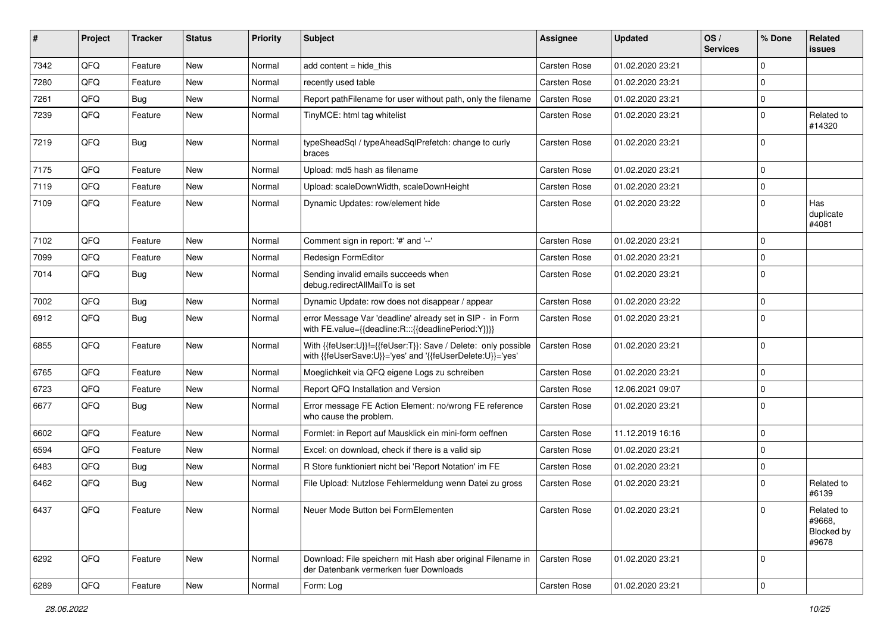| #    | Project | <b>Tracker</b> | <b>Status</b> | <b>Priority</b> | Subject                                                                                                                    | Assignee     | <b>Updated</b>   | OS/<br><b>Services</b> | % Done      | Related<br>issues                           |
|------|---------|----------------|---------------|-----------------|----------------------------------------------------------------------------------------------------------------------------|--------------|------------------|------------------------|-------------|---------------------------------------------|
| 7342 | QFQ     | Feature        | <b>New</b>    | Normal          | add content = hide_this                                                                                                    | Carsten Rose | 01.02.2020 23:21 |                        | $\mathbf 0$ |                                             |
| 7280 | QFQ     | Feature        | New           | Normal          | recently used table                                                                                                        | Carsten Rose | 01.02.2020 23:21 |                        | $\mathbf 0$ |                                             |
| 7261 | QFQ     | <b>Bug</b>     | <b>New</b>    | Normal          | Report pathFilename for user without path, only the filename                                                               | Carsten Rose | 01.02.2020 23:21 |                        | $\mathbf 0$ |                                             |
| 7239 | QFQ     | Feature        | New           | Normal          | TinyMCE: html tag whitelist                                                                                                | Carsten Rose | 01.02.2020 23:21 |                        | $\mathbf 0$ | Related to<br>#14320                        |
| 7219 | QFQ     | Bug            | New           | Normal          | typeSheadSql / typeAheadSqlPrefetch: change to curly<br>braces                                                             | Carsten Rose | 01.02.2020 23:21 |                        | $\mathbf 0$ |                                             |
| 7175 | QFQ     | Feature        | New           | Normal          | Upload: md5 hash as filename                                                                                               | Carsten Rose | 01.02.2020 23:21 |                        | $\mathbf 0$ |                                             |
| 7119 | QFQ     | Feature        | <b>New</b>    | Normal          | Upload: scaleDownWidth, scaleDownHeight                                                                                    | Carsten Rose | 01.02.2020 23:21 |                        | $\mathbf 0$ |                                             |
| 7109 | QFQ     | Feature        | New           | Normal          | Dynamic Updates: row/element hide                                                                                          | Carsten Rose | 01.02.2020 23:22 |                        | $\mathbf 0$ | Has<br>duplicate<br>#4081                   |
| 7102 | QFQ     | Feature        | <b>New</b>    | Normal          | Comment sign in report: '#' and '--'                                                                                       | Carsten Rose | 01.02.2020 23:21 |                        | $\mathbf 0$ |                                             |
| 7099 | QFQ     | Feature        | New           | Normal          | Redesign FormEditor                                                                                                        | Carsten Rose | 01.02.2020 23:21 |                        | $\mathbf 0$ |                                             |
| 7014 | QFQ     | <b>Bug</b>     | New           | Normal          | Sending invalid emails succeeds when<br>debug.redirectAllMailTo is set                                                     | Carsten Rose | 01.02.2020 23:21 |                        | $\mathbf 0$ |                                             |
| 7002 | QFQ     | <b>Bug</b>     | <b>New</b>    | Normal          | Dynamic Update: row does not disappear / appear                                                                            | Carsten Rose | 01.02.2020 23:22 |                        | $\mathbf 0$ |                                             |
| 6912 | QFQ     | Bug            | New           | Normal          | error Message Var 'deadline' already set in SIP - in Form<br>with FE.value={{deadline:R:::{{deadlinePeriod:Y}}}}           | Carsten Rose | 01.02.2020 23:21 |                        | $\mathbf 0$ |                                             |
| 6855 | QFQ     | Feature        | New           | Normal          | With {{feUser:U}}!={{feUser:T}}: Save / Delete: only possible<br>with {{feUserSave:U}}='yes' and '{{feUserDelete:U}}='yes' | Carsten Rose | 01.02.2020 23:21 |                        | $\mathbf 0$ |                                             |
| 6765 | QFQ     | Feature        | <b>New</b>    | Normal          | Moeglichkeit via QFQ eigene Logs zu schreiben                                                                              | Carsten Rose | 01.02.2020 23:21 |                        | $\mathbf 0$ |                                             |
| 6723 | QFQ     | Feature        | <b>New</b>    | Normal          | Report QFQ Installation and Version                                                                                        | Carsten Rose | 12.06.2021 09:07 |                        | $\mathbf 0$ |                                             |
| 6677 | QFQ     | Bug            | New           | Normal          | Error message FE Action Element: no/wrong FE reference<br>who cause the problem.                                           | Carsten Rose | 01.02.2020 23:21 |                        | $\mathbf 0$ |                                             |
| 6602 | QFQ     | Feature        | New           | Normal          | Formlet: in Report auf Mausklick ein mini-form oeffnen                                                                     | Carsten Rose | 11.12.2019 16:16 |                        | $\mathbf 0$ |                                             |
| 6594 | QFQ     | Feature        | New           | Normal          | Excel: on download, check if there is a valid sip                                                                          | Carsten Rose | 01.02.2020 23:21 |                        | $\mathbf 0$ |                                             |
| 6483 | QFQ     | <b>Bug</b>     | <b>New</b>    | Normal          | R Store funktioniert nicht bei 'Report Notation' im FE                                                                     | Carsten Rose | 01.02.2020 23:21 |                        | $\mathbf 0$ |                                             |
| 6462 | QFQ     | Bug            | New           | Normal          | File Upload: Nutzlose Fehlermeldung wenn Datei zu gross                                                                    | Carsten Rose | 01.02.2020 23:21 |                        | $\mathbf 0$ | Related to<br>#6139                         |
| 6437 | QFQ     | Feature        | New           | Normal          | Neuer Mode Button bei FormElementen                                                                                        | Carsten Rose | 01.02.2020 23:21 |                        | 0           | Related to<br>#9668,<br>Blocked by<br>#9678 |
| 6292 | QFQ     | Feature        | New           | Normal          | Download: File speichern mit Hash aber original Filename in<br>der Datenbank vermerken fuer Downloads                      | Carsten Rose | 01.02.2020 23:21 |                        | $\mathbf 0$ |                                             |
| 6289 | QFQ     | Feature        | New           | Normal          | Form: Log                                                                                                                  | Carsten Rose | 01.02.2020 23:21 |                        | $\mathbf 0$ |                                             |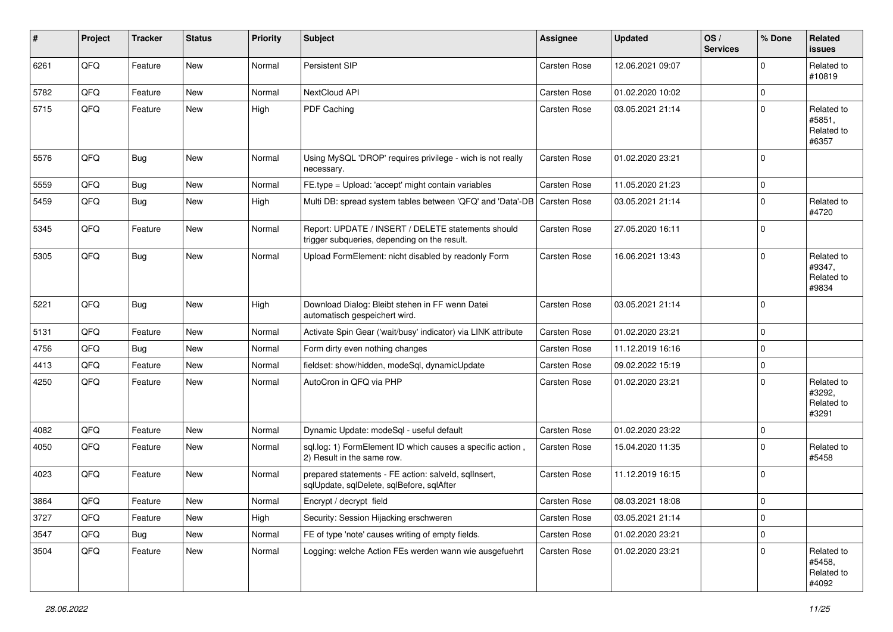| ∦    | Project | <b>Tracker</b> | <b>Status</b> | <b>Priority</b> | Subject                                                                                            | <b>Assignee</b>     | <b>Updated</b>   | OS/<br><b>Services</b> | % Done      | <b>Related</b><br><b>issues</b>             |
|------|---------|----------------|---------------|-----------------|----------------------------------------------------------------------------------------------------|---------------------|------------------|------------------------|-------------|---------------------------------------------|
| 6261 | QFQ     | Feature        | New           | Normal          | Persistent SIP                                                                                     | Carsten Rose        | 12.06.2021 09:07 |                        | $\Omega$    | Related to<br>#10819                        |
| 5782 | QFQ     | Feature        | <b>New</b>    | Normal          | NextCloud API                                                                                      | Carsten Rose        | 01.02.2020 10:02 |                        | $\mathbf 0$ |                                             |
| 5715 | QFQ     | Feature        | New           | High            | PDF Caching                                                                                        | Carsten Rose        | 03.05.2021 21:14 |                        | $\mathbf 0$ | Related to<br>#5851,<br>Related to<br>#6357 |
| 5576 | QFQ     | Bug            | <b>New</b>    | Normal          | Using MySQL 'DROP' requires privilege - wich is not really<br>necessary.                           | Carsten Rose        | 01.02.2020 23:21 |                        | $\mathbf 0$ |                                             |
| 5559 | QFQ     | Bug            | New           | Normal          | FE.type = Upload: 'accept' might contain variables                                                 | Carsten Rose        | 11.05.2020 21:23 |                        | $\mathbf 0$ |                                             |
| 5459 | QFQ     | <b>Bug</b>     | New           | High            | Multi DB: spread system tables between 'QFQ' and 'Data'-DB                                         | <b>Carsten Rose</b> | 03.05.2021 21:14 |                        | $\mathbf 0$ | Related to<br>#4720                         |
| 5345 | QFQ     | Feature        | New           | Normal          | Report: UPDATE / INSERT / DELETE statements should<br>trigger subqueries, depending on the result. | Carsten Rose        | 27.05.2020 16:11 |                        | $\mathbf 0$ |                                             |
| 5305 | QFQ     | <b>Bug</b>     | New           | Normal          | Upload FormElement: nicht disabled by readonly Form                                                | Carsten Rose        | 16.06.2021 13:43 |                        | $\mathbf 0$ | Related to<br>#9347,<br>Related to<br>#9834 |
| 5221 | QFQ     | Bug            | New           | High            | Download Dialog: Bleibt stehen in FF wenn Datei<br>automatisch gespeichert wird.                   | Carsten Rose        | 03.05.2021 21:14 |                        | $\mathbf 0$ |                                             |
| 5131 | QFQ     | Feature        | New           | Normal          | Activate Spin Gear ('wait/busy' indicator) via LINK attribute                                      | Carsten Rose        | 01.02.2020 23:21 |                        | $\mathbf 0$ |                                             |
| 4756 | QFQ     | Bug            | <b>New</b>    | Normal          | Form dirty even nothing changes                                                                    | Carsten Rose        | 11.12.2019 16:16 |                        | $\mathbf 0$ |                                             |
| 4413 | QFQ     | Feature        | New           | Normal          | fieldset: show/hidden, modeSql, dynamicUpdate                                                      | Carsten Rose        | 09.02.2022 15:19 |                        | $\mathbf 0$ |                                             |
| 4250 | QFQ     | Feature        | <b>New</b>    | Normal          | AutoCron in QFQ via PHP                                                                            | Carsten Rose        | 01.02.2020 23:21 |                        | $\mathbf 0$ | Related to<br>#3292,<br>Related to<br>#3291 |
| 4082 | QFQ     | Feature        | New           | Normal          | Dynamic Update: modeSql - useful default                                                           | Carsten Rose        | 01.02.2020 23:22 |                        | $\mathbf 0$ |                                             |
| 4050 | QFQ     | Feature        | New           | Normal          | sql.log: 1) FormElement ID which causes a specific action,<br>2) Result in the same row.           | <b>Carsten Rose</b> | 15.04.2020 11:35 |                        | $\mathbf 0$ | Related to<br>#5458                         |
| 4023 | QFQ     | Feature        | <b>New</b>    | Normal          | prepared statements - FE action: salveld, sqlInsert,<br>sqlUpdate, sqlDelete, sqlBefore, sqlAfter  | Carsten Rose        | 11.12.2019 16:15 |                        | $\mathbf 0$ |                                             |
| 3864 | QFQ     | Feature        | <b>New</b>    | Normal          | Encrypt / decrypt field                                                                            | Carsten Rose        | 08.03.2021 18:08 |                        | $\mathbf 0$ |                                             |
| 3727 | QFO     | Feature        | New           | High            | Security: Session Hijacking erschweren                                                             | Carsten Rose        | 03.05.2021 21:14 |                        | $\mathbf 0$ |                                             |
| 3547 | QFQ     | Bug            | New           | Normal          | FE of type 'note' causes writing of empty fields.                                                  | Carsten Rose        | 01.02.2020 23:21 |                        | $\mathbf 0$ |                                             |
| 3504 | QFQ     | Feature        | New           | Normal          | Logging: welche Action FEs werden wann wie ausgefuehrt                                             | Carsten Rose        | 01.02.2020 23:21 |                        | $\mathbf 0$ | Related to<br>#5458,<br>Related to<br>#4092 |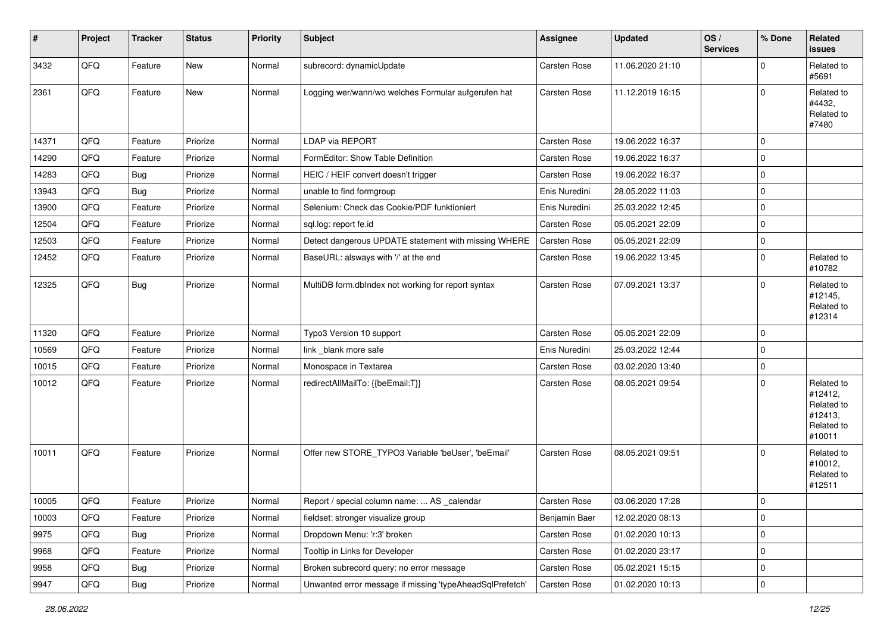| #     | Project        | <b>Tracker</b> | <b>Status</b> | Priority | <b>Subject</b>                                           | <b>Assignee</b>     | <b>Updated</b>   | OS/<br><b>Services</b> | % Done      | <b>Related</b><br>issues                                               |
|-------|----------------|----------------|---------------|----------|----------------------------------------------------------|---------------------|------------------|------------------------|-------------|------------------------------------------------------------------------|
| 3432  | QFQ            | Feature        | New           | Normal   | subrecord: dynamicUpdate                                 | Carsten Rose        | 11.06.2020 21:10 |                        | $\mathbf 0$ | Related to<br>#5691                                                    |
| 2361  | QFQ            | Feature        | New           | Normal   | Logging wer/wann/wo welches Formular aufgerufen hat      | Carsten Rose        | 11.12.2019 16:15 |                        | $\mathbf 0$ | Related to<br>#4432,<br>Related to<br>#7480                            |
| 14371 | QFQ            | Feature        | Priorize      | Normal   | <b>LDAP via REPORT</b>                                   | Carsten Rose        | 19.06.2022 16:37 |                        | $\mathbf 0$ |                                                                        |
| 14290 | QFQ            | Feature        | Priorize      | Normal   | FormEditor: Show Table Definition                        | Carsten Rose        | 19.06.2022 16:37 |                        | $\mathbf 0$ |                                                                        |
| 14283 | QFQ            | Bug            | Priorize      | Normal   | HEIC / HEIF convert doesn't trigger                      | Carsten Rose        | 19.06.2022 16:37 |                        | $\mathbf 0$ |                                                                        |
| 13943 | QFQ            | <b>Bug</b>     | Priorize      | Normal   | unable to find formgroup                                 | Enis Nuredini       | 28.05.2022 11:03 |                        | $\mathbf 0$ |                                                                        |
| 13900 | QFQ            | Feature        | Priorize      | Normal   | Selenium: Check das Cookie/PDF funktioniert              | Enis Nuredini       | 25.03.2022 12:45 |                        | $\mathbf 0$ |                                                                        |
| 12504 | QFQ            | Feature        | Priorize      | Normal   | sql.log: report fe.id                                    | Carsten Rose        | 05.05.2021 22:09 |                        | $\mathbf 0$ |                                                                        |
| 12503 | QFQ            | Feature        | Priorize      | Normal   | Detect dangerous UPDATE statement with missing WHERE     | Carsten Rose        | 05.05.2021 22:09 |                        | $\mathbf 0$ |                                                                        |
| 12452 | QFQ            | Feature        | Priorize      | Normal   | BaseURL: alsways with '/' at the end                     | Carsten Rose        | 19.06.2022 13:45 |                        | $\mathbf 0$ | Related to<br>#10782                                                   |
| 12325 | QFQ            | Bug            | Priorize      | Normal   | MultiDB form.dblndex not working for report syntax       | <b>Carsten Rose</b> | 07.09.2021 13:37 |                        | $\mathbf 0$ | Related to<br>#12145,<br>Related to<br>#12314                          |
| 11320 | QFQ            | Feature        | Priorize      | Normal   | Typo3 Version 10 support                                 | <b>Carsten Rose</b> | 05.05.2021 22:09 |                        | $\mathbf 0$ |                                                                        |
| 10569 | QFQ            | Feature        | Priorize      | Normal   | link _blank more safe                                    | Enis Nuredini       | 25.03.2022 12:44 |                        | $\mathbf 0$ |                                                                        |
| 10015 | QFQ            | Feature        | Priorize      | Normal   | Monospace in Textarea                                    | Carsten Rose        | 03.02.2020 13:40 |                        | $\mathbf 0$ |                                                                        |
| 10012 | QFQ            | Feature        | Priorize      | Normal   | redirectAllMailTo: {{beEmail:T}}                         | Carsten Rose        | 08.05.2021 09:54 |                        | $\mathbf 0$ | Related to<br>#12412,<br>Related to<br>#12413,<br>Related to<br>#10011 |
| 10011 | QFQ            | Feature        | Priorize      | Normal   | Offer new STORE_TYPO3 Variable 'beUser', 'beEmail'       | Carsten Rose        | 08.05.2021 09:51 |                        | $\Omega$    | Related to<br>#10012,<br>Related to<br>#12511                          |
| 10005 | QFQ            | Feature        | Priorize      | Normal   | Report / special column name:  AS calendar               | <b>Carsten Rose</b> | 03.06.2020 17:28 |                        | $\mathbf 0$ |                                                                        |
| 10003 | QFQ            | Feature        | Priorize      | Normal   | fieldset: stronger visualize group                       | Benjamin Baer       | 12.02.2020 08:13 |                        | $\mathbf 0$ |                                                                        |
| 9975  | QFQ            | Bug            | Priorize      | Normal   | Dropdown Menu: 'r:3' broken                              | Carsten Rose        | 01.02.2020 10:13 |                        | $\mathbf 0$ |                                                                        |
| 9968  | QFQ            | Feature        | Priorize      | Normal   | Tooltip in Links for Developer                           | Carsten Rose        | 01.02.2020 23:17 |                        | $\pmb{0}$   |                                                                        |
| 9958  | QFQ            | <b>Bug</b>     | Priorize      | Normal   | Broken subrecord query: no error message                 | Carsten Rose        | 05.02.2021 15:15 |                        | 0           |                                                                        |
| 9947  | $\mathsf{QFQ}$ | Bug            | Priorize      | Normal   | Unwanted error message if missing 'typeAheadSqlPrefetch' | Carsten Rose        | 01.02.2020 10:13 |                        | $\pmb{0}$   |                                                                        |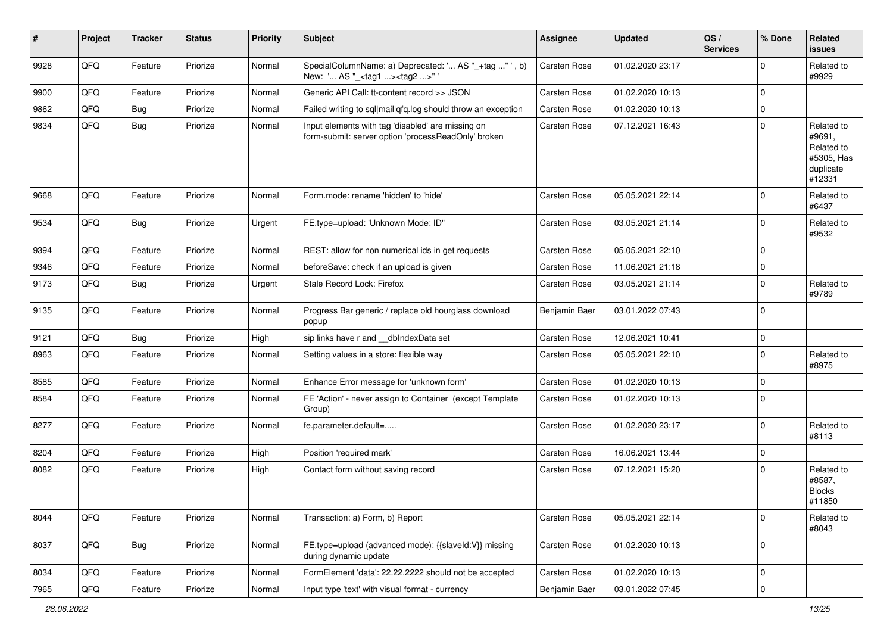| ∦    | Project | <b>Tracker</b> | <b>Status</b> | <b>Priority</b> | <b>Subject</b>                                                                                           | <b>Assignee</b>     | <b>Updated</b>   | OS/<br><b>Services</b> | % Done      | Related<br><b>issues</b>                                                |
|------|---------|----------------|---------------|-----------------|----------------------------------------------------------------------------------------------------------|---------------------|------------------|------------------------|-------------|-------------------------------------------------------------------------|
| 9928 | QFQ     | Feature        | Priorize      | Normal          | SpecialColumnName: a) Deprecated: ' AS "_+tag " ', b)<br>New: ' AS "_ <tag1><tag2>"'</tag2></tag1>       | Carsten Rose        | 01.02.2020 23:17 |                        | $\mathbf 0$ | Related to<br>#9929                                                     |
| 9900 | QFQ     | Feature        | Priorize      | Normal          | Generic API Call: tt-content record >> JSON                                                              | <b>Carsten Rose</b> | 01.02.2020 10:13 |                        | $\mathbf 0$ |                                                                         |
| 9862 | QFQ     | Bug            | Priorize      | Normal          | Failed writing to sql mail qfq.log should throw an exception                                             | <b>Carsten Rose</b> | 01.02.2020 10:13 |                        | $\mathbf 0$ |                                                                         |
| 9834 | QFQ     | Bug            | Priorize      | Normal          | Input elements with tag 'disabled' are missing on<br>form-submit: server option 'processReadOnly' broken | <b>Carsten Rose</b> | 07.12.2021 16:43 |                        | $\mathbf 0$ | Related to<br>#9691,<br>Related to<br>#5305, Has<br>duplicate<br>#12331 |
| 9668 | QFQ     | Feature        | Priorize      | Normal          | Form.mode: rename 'hidden' to 'hide'                                                                     | <b>Carsten Rose</b> | 05.05.2021 22:14 |                        | 0           | Related to<br>#6437                                                     |
| 9534 | QFQ     | Bug            | Priorize      | Urgent          | FE.type=upload: 'Unknown Mode: ID"                                                                       | Carsten Rose        | 03.05.2021 21:14 |                        | 0           | Related to<br>#9532                                                     |
| 9394 | QFQ     | Feature        | Priorize      | Normal          | REST: allow for non numerical ids in get requests                                                        | <b>Carsten Rose</b> | 05.05.2021 22:10 |                        | $\mathbf 0$ |                                                                         |
| 9346 | QFQ     | Feature        | Priorize      | Normal          | beforeSave: check if an upload is given                                                                  | <b>Carsten Rose</b> | 11.06.2021 21:18 |                        | $\mathbf 0$ |                                                                         |
| 9173 | QFQ     | Bug            | Priorize      | Urgent          | Stale Record Lock: Firefox                                                                               | Carsten Rose        | 03.05.2021 21:14 |                        | 0           | Related to<br>#9789                                                     |
| 9135 | QFQ     | Feature        | Priorize      | Normal          | Progress Bar generic / replace old hourglass download<br>popup                                           | Benjamin Baer       | 03.01.2022 07:43 |                        | $\mathbf 0$ |                                                                         |
| 9121 | QFQ     | Bug            | Priorize      | High            | sip links have r and dblndexData set                                                                     | <b>Carsten Rose</b> | 12.06.2021 10:41 |                        | $\mathbf 0$ |                                                                         |
| 8963 | QFQ     | Feature        | Priorize      | Normal          | Setting values in a store: flexible way                                                                  | Carsten Rose        | 05.05.2021 22:10 |                        | $\mathbf 0$ | Related to<br>#8975                                                     |
| 8585 | QFQ     | Feature        | Priorize      | Normal          | Enhance Error message for 'unknown form'                                                                 | <b>Carsten Rose</b> | 01.02.2020 10:13 |                        | $\mathbf 0$ |                                                                         |
| 8584 | QFQ     | Feature        | Priorize      | Normal          | FE 'Action' - never assign to Container (except Template<br>Group)                                       | <b>Carsten Rose</b> | 01.02.2020 10:13 |                        | $\mathbf 0$ |                                                                         |
| 8277 | QFQ     | Feature        | Priorize      | Normal          | fe.parameter.default=                                                                                    | <b>Carsten Rose</b> | 01.02.2020 23:17 |                        | $\mathbf 0$ | Related to<br>#8113                                                     |
| 8204 | QFQ     | Feature        | Priorize      | High            | Position 'required mark'                                                                                 | <b>Carsten Rose</b> | 16.06.2021 13:44 |                        | $\mathbf 0$ |                                                                         |
| 8082 | QFQ     | Feature        | Priorize      | High            | Contact form without saving record                                                                       | <b>Carsten Rose</b> | 07.12.2021 15:20 |                        | $\mathbf 0$ | Related to<br>#8587,<br><b>Blocks</b><br>#11850                         |
| 8044 | QFQ     | Feature        | Priorize      | Normal          | Transaction: a) Form, b) Report                                                                          | Carsten Rose        | 05.05.2021 22:14 |                        | $\mathbf 0$ | Related to<br>#8043                                                     |
| 8037 | QFQ     | <b>Bug</b>     | Priorize      | Normal          | FE.type=upload (advanced mode): {{slaveId:V}} missing<br>during dynamic update                           | Carsten Rose        | 01.02.2020 10:13 |                        | $\mathbf 0$ |                                                                         |
| 8034 | QFQ     | Feature        | Priorize      | Normal          | FormElement 'data': 22.22.2222 should not be accepted                                                    | Carsten Rose        | 01.02.2020 10:13 |                        | $\mathbf 0$ |                                                                         |
| 7965 | QFG     | Feature        | Priorize      | Normal          | Input type 'text' with visual format - currency                                                          | Benjamin Baer       | 03.01.2022 07:45 |                        | $\mathbf 0$ |                                                                         |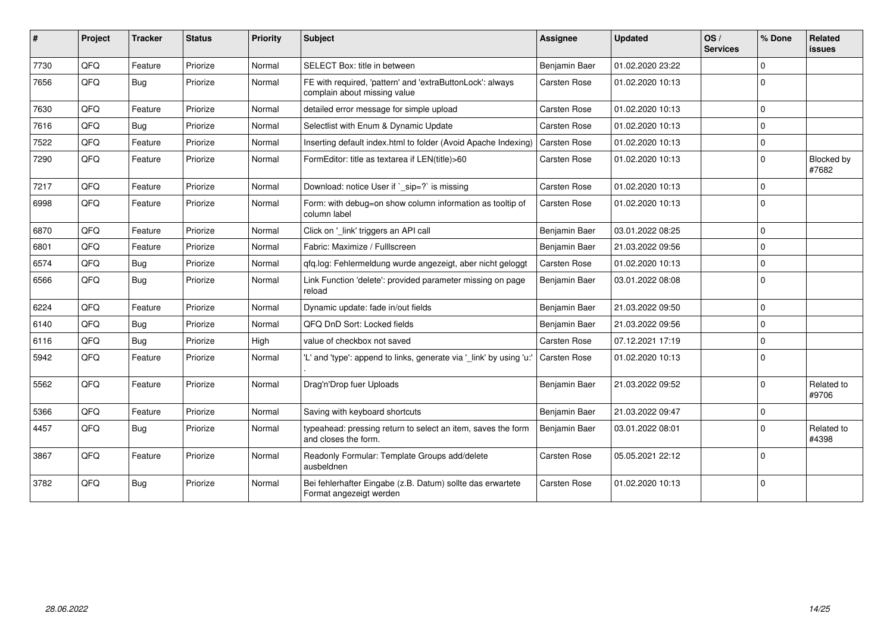| ∦    | Project | <b>Tracker</b> | <b>Status</b> | <b>Priority</b> | <b>Subject</b>                                                                            | <b>Assignee</b>     | <b>Updated</b>   | OS/<br><b>Services</b> | % Done       | Related<br><b>issues</b> |
|------|---------|----------------|---------------|-----------------|-------------------------------------------------------------------------------------------|---------------------|------------------|------------------------|--------------|--------------------------|
| 7730 | QFQ     | Feature        | Priorize      | Normal          | SELECT Box: title in between                                                              | Benjamin Baer       | 01.02.2020 23:22 |                        | 0            |                          |
| 7656 | QFQ     | Bug            | Priorize      | Normal          | FE with required, 'pattern' and 'extraButtonLock': always<br>complain about missing value | Carsten Rose        | 01.02.2020 10:13 |                        | 0            |                          |
| 7630 | QFQ     | Feature        | Priorize      | Normal          | detailed error message for simple upload                                                  | Carsten Rose        | 01.02.2020 10:13 |                        | $\Omega$     |                          |
| 7616 | QFQ     | Bug            | Priorize      | Normal          | Selectlist with Enum & Dynamic Update                                                     | Carsten Rose        | 01.02.2020 10:13 |                        | $\Omega$     |                          |
| 7522 | QFQ     | Feature        | Priorize      | Normal          | Inserting default index.html to folder (Avoid Apache Indexing)                            | Carsten Rose        | 01.02.2020 10:13 |                        | $\mathbf 0$  |                          |
| 7290 | QFQ     | Feature        | Priorize      | Normal          | FormEditor: title as textarea if LEN(title)>60                                            | Carsten Rose        | 01.02.2020 10:13 |                        | $\Omega$     | Blocked by<br>#7682      |
| 7217 | QFQ     | Feature        | Priorize      | Normal          | Download: notice User if `_sip=?` is missing                                              | Carsten Rose        | 01.02.2020 10:13 |                        | $\mathbf 0$  |                          |
| 6998 | QFQ     | Feature        | Priorize      | Normal          | Form: with debug=on show column information as tooltip of<br>column label                 | Carsten Rose        | 01.02.2020 10:13 |                        | $\Omega$     |                          |
| 6870 | QFQ     | Feature        | Priorize      | Normal          | Click on '_link' triggers an API call                                                     | Benjamin Baer       | 03.01.2022 08:25 |                        | $\Omega$     |                          |
| 6801 | QFQ     | Feature        | Priorize      | Normal          | Fabric: Maximize / FullIscreen                                                            | Benjamin Baer       | 21.03.2022 09:56 |                        | $\Omega$     |                          |
| 6574 | QFQ     | Bug            | Priorize      | Normal          | gfg.log: Fehlermeldung wurde angezeigt, aber nicht geloggt                                | Carsten Rose        | 01.02.2020 10:13 |                        | <sup>0</sup> |                          |
| 6566 | QFQ     | Bug            | Priorize      | Normal          | Link Function 'delete': provided parameter missing on page<br>reload                      | Benjamin Baer       | 03.01.2022 08:08 |                        | $\Omega$     |                          |
| 6224 | QFQ     | Feature        | Priorize      | Normal          | Dynamic update: fade in/out fields                                                        | Benjamin Baer       | 21.03.2022 09:50 |                        | $\Omega$     |                          |
| 6140 | QFQ     | Bug            | Priorize      | Normal          | QFQ DnD Sort: Locked fields                                                               | Benjamin Baer       | 21.03.2022 09:56 |                        | 0            |                          |
| 6116 | QFQ     | <b>Bug</b>     | Priorize      | High            | value of checkbox not saved                                                               | Carsten Rose        | 07.12.2021 17:19 |                        | $\Omega$     |                          |
| 5942 | QFQ     | Feature        | Priorize      | Normal          | "L' and 'type': append to links, generate via ' link' by using 'u:"                       | <b>Carsten Rose</b> | 01.02.2020 10:13 |                        | $\Omega$     |                          |
| 5562 | QFQ     | Feature        | Priorize      | Normal          | Drag'n'Drop fuer Uploads                                                                  | Benjamin Baer       | 21.03.2022 09:52 |                        | <sup>0</sup> | Related to<br>#9706      |
| 5366 | QFQ     | Feature        | Priorize      | Normal          | Saving with keyboard shortcuts                                                            | Benjamin Baer       | 21.03.2022 09:47 |                        | $\mathbf 0$  |                          |
| 4457 | QFQ     | <b>Bug</b>     | Priorize      | Normal          | typeahead: pressing return to select an item, saves the form<br>and closes the form.      | Benjamin Baer       | 03.01.2022 08:01 |                        | 0            | Related to<br>#4398      |
| 3867 | QFQ     | Feature        | Priorize      | Normal          | Readonly Formular: Template Groups add/delete<br>ausbeldnen                               | Carsten Rose        | 05.05.2021 22:12 |                        | $\Omega$     |                          |
| 3782 | QFQ     | <b>Bug</b>     | Priorize      | Normal          | Bei fehlerhafter Eingabe (z.B. Datum) sollte das erwartete<br>Format angezeigt werden     | Carsten Rose        | 01.02.2020 10:13 |                        | $\mathbf 0$  |                          |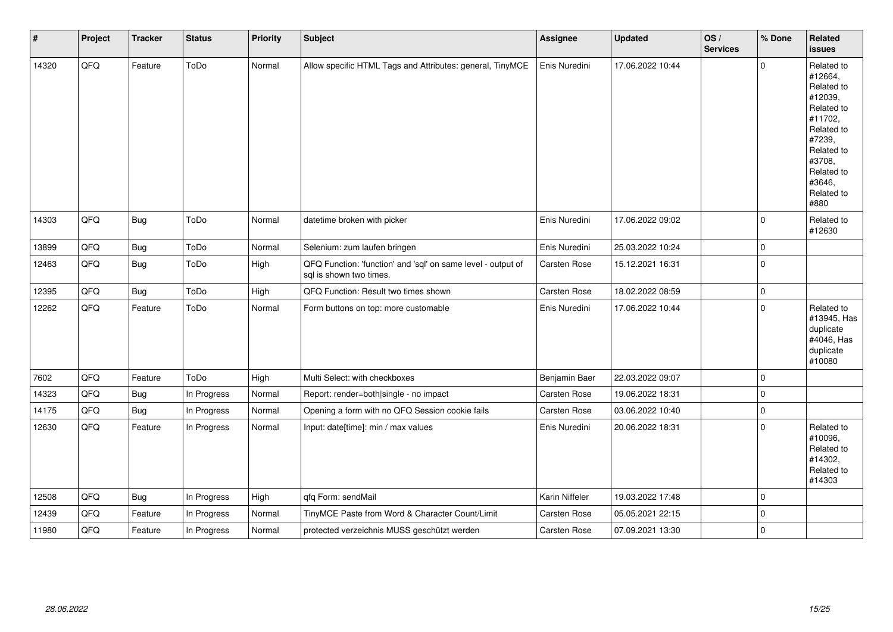| $\vert$ # | Project | <b>Tracker</b> | <b>Status</b> | Priority | <b>Subject</b>                                                                          | Assignee       | <b>Updated</b>   | OS/<br><b>Services</b> | % Done              | <b>Related</b><br><b>issues</b>                                                                                                                                       |
|-----------|---------|----------------|---------------|----------|-----------------------------------------------------------------------------------------|----------------|------------------|------------------------|---------------------|-----------------------------------------------------------------------------------------------------------------------------------------------------------------------|
| 14320     | QFQ     | Feature        | ToDo          | Normal   | Allow specific HTML Tags and Attributes: general, TinyMCE                               | Enis Nuredini  | 17.06.2022 10:44 |                        | $\mathbf 0$         | Related to<br>#12664,<br>Related to<br>#12039,<br>Related to<br>#11702,<br>Related to<br>#7239,<br>Related to<br>#3708,<br>Related to<br>#3646,<br>Related to<br>#880 |
| 14303     | QFQ     | Bug            | ToDo          | Normal   | datetime broken with picker                                                             | Enis Nuredini  | 17.06.2022 09:02 |                        | $\mathbf 0$         | Related to<br>#12630                                                                                                                                                  |
| 13899     | QFQ     | <b>Bug</b>     | ToDo          | Normal   | Selenium: zum laufen bringen                                                            | Enis Nuredini  | 25.03.2022 10:24 |                        | $\mathsf{O}\xspace$ |                                                                                                                                                                       |
| 12463     | QFQ     | <b>Bug</b>     | ToDo          | High     | QFQ Function: 'function' and 'sql' on same level - output of<br>sql is shown two times. | Carsten Rose   | 15.12.2021 16:31 |                        | $\mathbf 0$         |                                                                                                                                                                       |
| 12395     | QFQ     | Bug            | ToDo          | High     | QFQ Function: Result two times shown                                                    | Carsten Rose   | 18.02.2022 08:59 |                        | $\mathsf 0$         |                                                                                                                                                                       |
| 12262     | QFO     | Feature        | ToDo          | Normal   | Form buttons on top: more customable                                                    | Enis Nuredini  | 17.06.2022 10:44 |                        | $\mathbf 0$         | Related to<br>#13945, Has<br>duplicate<br>#4046, Has<br>duplicate<br>#10080                                                                                           |
| 7602      | QFQ     | Feature        | ToDo          | High     | Multi Select: with checkboxes                                                           | Benjamin Baer  | 22.03.2022 09:07 |                        | $\mathbf 0$         |                                                                                                                                                                       |
| 14323     | QFQ     | <b>Bug</b>     | In Progress   | Normal   | Report: render=both single - no impact                                                  | Carsten Rose   | 19.06.2022 18:31 |                        | $\mathsf{O}\xspace$ |                                                                                                                                                                       |
| 14175     | QFQ     | Bug            | In Progress   | Normal   | Opening a form with no QFQ Session cookie fails                                         | Carsten Rose   | 03.06.2022 10:40 |                        | $\mathsf{O}\xspace$ |                                                                                                                                                                       |
| 12630     | QFQ     | Feature        | In Progress   | Normal   | Input: date[time]: min / max values                                                     | Enis Nuredini  | 20.06.2022 18:31 |                        | $\mathbf 0$         | Related to<br>#10096,<br>Related to<br>#14302,<br>Related to<br>#14303                                                                                                |
| 12508     | QFQ     | Bug            | In Progress   | High     | qfq Form: sendMail                                                                      | Karin Niffeler | 19.03.2022 17:48 |                        | $\mathbf 0$         |                                                                                                                                                                       |
| 12439     | QFQ     | Feature        | In Progress   | Normal   | TinyMCE Paste from Word & Character Count/Limit                                         | Carsten Rose   | 05.05.2021 22:15 |                        | $\mathbf 0$         |                                                                                                                                                                       |
| 11980     | QFQ     | Feature        | In Progress   | Normal   | protected verzeichnis MUSS geschützt werden                                             | Carsten Rose   | 07.09.2021 13:30 |                        | $\mathbf 0$         |                                                                                                                                                                       |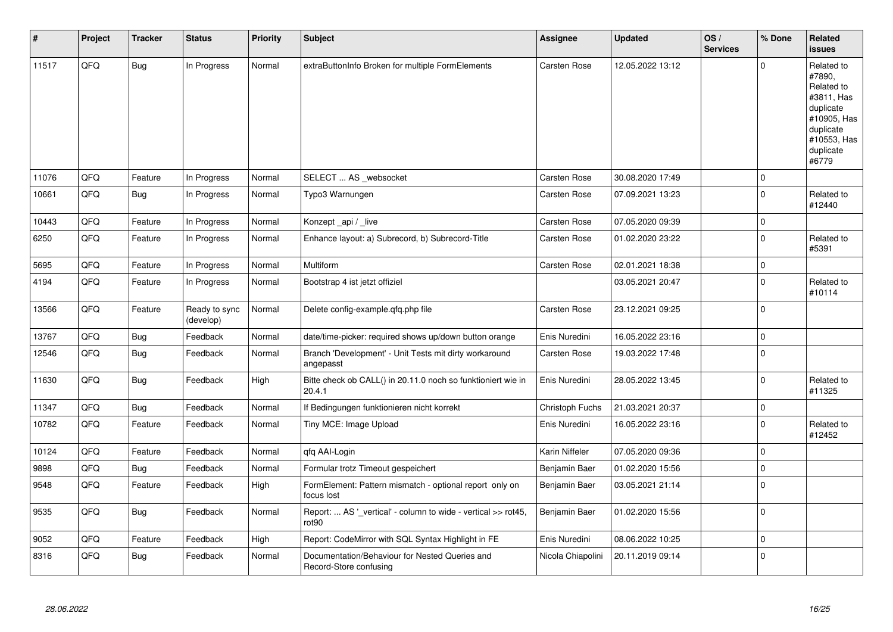| $\vert$ # | Project | <b>Tracker</b> | <b>Status</b>              | <b>Priority</b> | <b>Subject</b>                                                                     | Assignee          | <b>Updated</b>   | OS/<br><b>Services</b> | % Done         | Related<br>issues                                                                                                              |
|-----------|---------|----------------|----------------------------|-----------------|------------------------------------------------------------------------------------|-------------------|------------------|------------------------|----------------|--------------------------------------------------------------------------------------------------------------------------------|
| 11517     | QFQ     | <b>Bug</b>     | In Progress                | Normal          | extraButtonInfo Broken for multiple FormElements                                   | Carsten Rose      | 12.05.2022 13:12 |                        | $\Omega$       | Related to<br>#7890,<br>Related to<br>#3811, Has<br>duplicate<br>#10905, Has<br>duplicate<br>#10553, Has<br>duplicate<br>#6779 |
| 11076     | QFQ     | Feature        | In Progress                | Normal          | SELECT  AS _websocket                                                              | Carsten Rose      | 30.08.2020 17:49 |                        | $\mathbf 0$    |                                                                                                                                |
| 10661     | QFQ     | <b>Bug</b>     | In Progress                | Normal          | Typo3 Warnungen                                                                    | Carsten Rose      | 07.09.2021 13:23 |                        | $\mathbf 0$    | Related to<br>#12440                                                                                                           |
| 10443     | QFQ     | Feature        | In Progress                | Normal          | Konzept_api / _live                                                                | Carsten Rose      | 07.05.2020 09:39 |                        | $\mathbf 0$    |                                                                                                                                |
| 6250      | QFQ     | Feature        | In Progress                | Normal          | Enhance layout: a) Subrecord, b) Subrecord-Title                                   | Carsten Rose      | 01.02.2020 23:22 |                        | $\mathbf 0$    | Related to<br>#5391                                                                                                            |
| 5695      | QFQ     | Feature        | In Progress                | Normal          | Multiform                                                                          | Carsten Rose      | 02.01.2021 18:38 |                        | $\mathbf 0$    |                                                                                                                                |
| 4194      | QFQ     | Feature        | In Progress                | Normal          | Bootstrap 4 ist jetzt offiziel                                                     |                   | 03.05.2021 20:47 |                        | $\mathbf 0$    | Related to<br>#10114                                                                                                           |
| 13566     | QFQ     | Feature        | Ready to sync<br>(develop) | Normal          | Delete config-example.gfg.php file                                                 | Carsten Rose      | 23.12.2021 09:25 |                        | $\mathbf 0$    |                                                                                                                                |
| 13767     | QFQ     | Bug            | Feedback                   | Normal          | date/time-picker: required shows up/down button orange                             | Enis Nuredini     | 16.05.2022 23:16 |                        | $\Omega$       |                                                                                                                                |
| 12546     | QFQ     | Bug            | Feedback                   | Normal          | Branch 'Development' - Unit Tests mit dirty workaround<br>angepasst                | Carsten Rose      | 19.03.2022 17:48 |                        | $\mathbf 0$    |                                                                                                                                |
| 11630     | QFQ     | <b>Bug</b>     | Feedback                   | High            | Bitte check ob CALL() in 20.11.0 noch so funktioniert wie in<br>20.4.1             | Enis Nuredini     | 28.05.2022 13:45 |                        | $\Omega$       | Related to<br>#11325                                                                                                           |
| 11347     | QFQ     | <b>Bug</b>     | Feedback                   | Normal          | If Bedingungen funktionieren nicht korrekt                                         | Christoph Fuchs   | 21.03.2021 20:37 |                        | $\mathbf 0$    |                                                                                                                                |
| 10782     | QFQ     | Feature        | Feedback                   | Normal          | Tiny MCE: Image Upload                                                             | Enis Nuredini     | 16.05.2022 23:16 |                        | $\mathbf 0$    | Related to<br>#12452                                                                                                           |
| 10124     | QFQ     | Feature        | Feedback                   | Normal          | qfq AAI-Login                                                                      | Karin Niffeler    | 07.05.2020 09:36 |                        | $\overline{0}$ |                                                                                                                                |
| 9898      | QFQ     | Bug            | Feedback                   | Normal          | Formular trotz Timeout gespeichert                                                 | Benjamin Baer     | 01.02.2020 15:56 |                        | $\mathbf 0$    |                                                                                                                                |
| 9548      | QFQ     | Feature        | Feedback                   | High            | FormElement: Pattern mismatch - optional report only on<br>focus lost              | Benjamin Baer     | 03.05.2021 21:14 |                        | $\overline{0}$ |                                                                                                                                |
| 9535      | QFQ     | Bug            | Feedback                   | Normal          | Report:  AS ' vertical' - column to wide - vertical >> rot45,<br>rot <sub>90</sub> | Benjamin Baer     | 01.02.2020 15:56 |                        | $\overline{0}$ |                                                                                                                                |
| 9052      | QFQ     | Feature        | Feedback                   | High            | Report: CodeMirror with SQL Syntax Highlight in FE                                 | Enis Nuredini     | 08.06.2022 10:25 |                        | $\mathbf 0$    |                                                                                                                                |
| 8316      | QFQ     | Bug            | Feedback                   | Normal          | Documentation/Behaviour for Nested Queries and<br>Record-Store confusing           | Nicola Chiapolini | 20.11.2019 09:14 |                        | $\overline{0}$ |                                                                                                                                |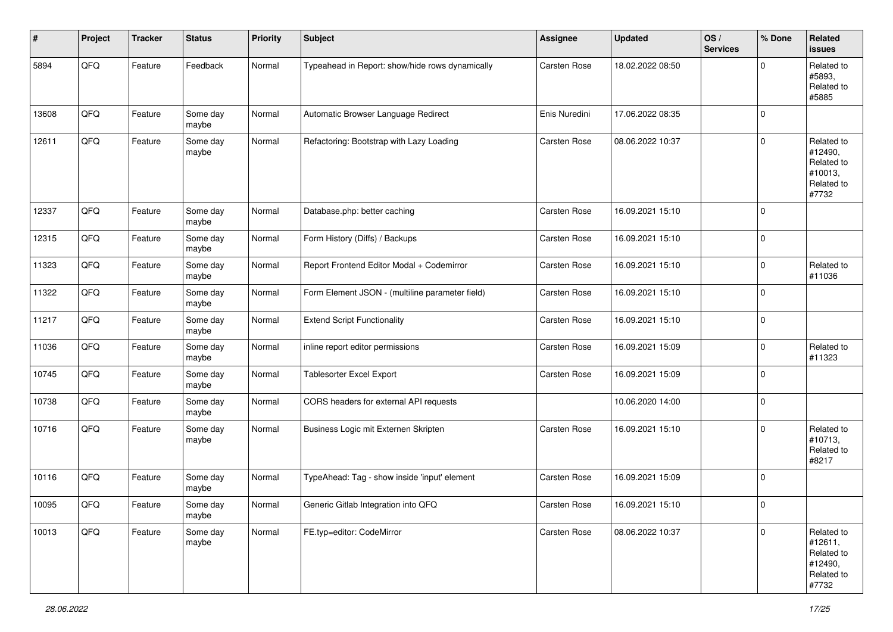| #     | Project | <b>Tracker</b> | <b>Status</b>     | <b>Priority</b> | <b>Subject</b>                                  | Assignee      | <b>Updated</b>   | OS/<br><b>Services</b> | % Done      | Related<br><b>issues</b>                                              |
|-------|---------|----------------|-------------------|-----------------|-------------------------------------------------|---------------|------------------|------------------------|-------------|-----------------------------------------------------------------------|
| 5894  | QFQ     | Feature        | Feedback          | Normal          | Typeahead in Report: show/hide rows dynamically | Carsten Rose  | 18.02.2022 08:50 |                        | $\Omega$    | Related to<br>#5893,<br>Related to<br>#5885                           |
| 13608 | QFQ     | Feature        | Some day<br>maybe | Normal          | Automatic Browser Language Redirect             | Enis Nuredini | 17.06.2022 08:35 |                        | $\mathbf 0$ |                                                                       |
| 12611 | QFQ     | Feature        | Some day<br>maybe | Normal          | Refactoring: Bootstrap with Lazy Loading        | Carsten Rose  | 08.06.2022 10:37 |                        | $\mathbf 0$ | Related to<br>#12490,<br>Related to<br>#10013,<br>Related to<br>#7732 |
| 12337 | QFQ     | Feature        | Some day<br>maybe | Normal          | Database.php: better caching                    | Carsten Rose  | 16.09.2021 15:10 |                        | $\mathbf 0$ |                                                                       |
| 12315 | QFQ     | Feature        | Some day<br>maybe | Normal          | Form History (Diffs) / Backups                  | Carsten Rose  | 16.09.2021 15:10 |                        | $\mathbf 0$ |                                                                       |
| 11323 | QFQ     | Feature        | Some day<br>maybe | Normal          | Report Frontend Editor Modal + Codemirror       | Carsten Rose  | 16.09.2021 15:10 |                        | $\mathbf 0$ | Related to<br>#11036                                                  |
| 11322 | QFQ     | Feature        | Some day<br>maybe | Normal          | Form Element JSON - (multiline parameter field) | Carsten Rose  | 16.09.2021 15:10 |                        | $\mathbf 0$ |                                                                       |
| 11217 | QFQ     | Feature        | Some day<br>maybe | Normal          | <b>Extend Script Functionality</b>              | Carsten Rose  | 16.09.2021 15:10 |                        | $\mathbf 0$ |                                                                       |
| 11036 | QFQ     | Feature        | Some day<br>maybe | Normal          | inline report editor permissions                | Carsten Rose  | 16.09.2021 15:09 |                        | $\mathbf 0$ | Related to<br>#11323                                                  |
| 10745 | QFQ     | Feature        | Some day<br>maybe | Normal          | Tablesorter Excel Export                        | Carsten Rose  | 16.09.2021 15:09 |                        | $\mathbf 0$ |                                                                       |
| 10738 | QFQ     | Feature        | Some day<br>maybe | Normal          | CORS headers for external API requests          |               | 10.06.2020 14:00 |                        | $\mathbf 0$ |                                                                       |
| 10716 | QFQ     | Feature        | Some day<br>maybe | Normal          | Business Logic mit Externen Skripten            | Carsten Rose  | 16.09.2021 15:10 |                        | $\mathbf 0$ | Related to<br>#10713,<br>Related to<br>#8217                          |
| 10116 | QFQ     | Feature        | Some day<br>maybe | Normal          | TypeAhead: Tag - show inside 'input' element    | Carsten Rose  | 16.09.2021 15:09 |                        | $\mathbf 0$ |                                                                       |
| 10095 | QFQ     | Feature        | Some day<br>maybe | Normal          | Generic Gitlab Integration into QFQ             | Carsten Rose  | 16.09.2021 15:10 |                        | $\mathbf 0$ |                                                                       |
| 10013 | QFQ     | Feature        | Some day<br>maybe | Normal          | FE.typ=editor: CodeMirror                       | Carsten Rose  | 08.06.2022 10:37 |                        | $\mathbf 0$ | Related to<br>#12611,<br>Related to<br>#12490,<br>Related to<br>#7732 |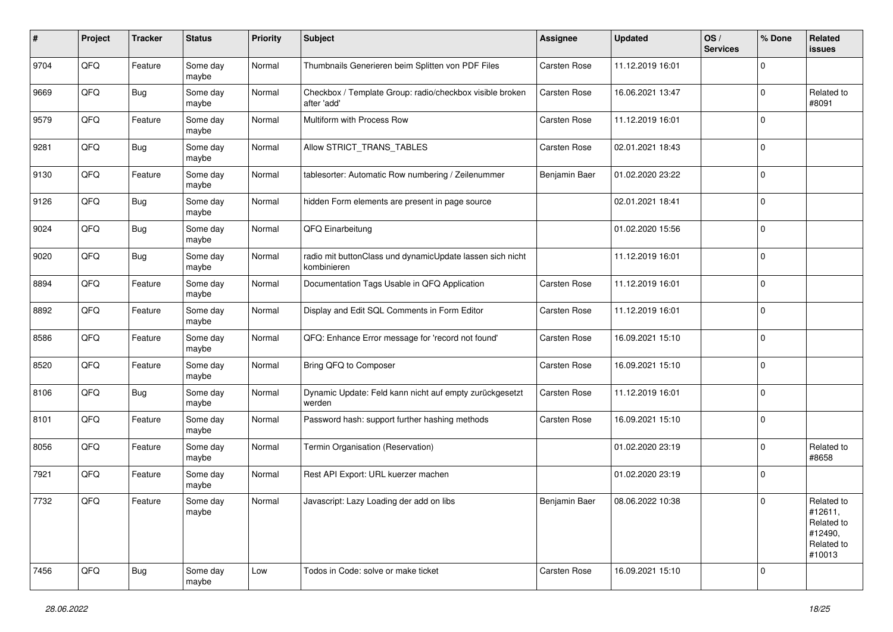| #    | Project | <b>Tracker</b> | <b>Status</b>     | <b>Priority</b> | <b>Subject</b>                                                           | <b>Assignee</b>     | <b>Updated</b>   | OS/<br><b>Services</b> | % Done         | Related<br><b>issues</b>                                               |
|------|---------|----------------|-------------------|-----------------|--------------------------------------------------------------------------|---------------------|------------------|------------------------|----------------|------------------------------------------------------------------------|
| 9704 | QFQ     | Feature        | Some day<br>maybe | Normal          | Thumbnails Generieren beim Splitten von PDF Files                        | Carsten Rose        | 11.12.2019 16:01 |                        | $\mathbf 0$    |                                                                        |
| 9669 | QFQ     | Bug            | Some day<br>maybe | Normal          | Checkbox / Template Group: radio/checkbox visible broken<br>after 'add'  | Carsten Rose        | 16.06.2021 13:47 |                        | $\mathbf 0$    | Related to<br>#8091                                                    |
| 9579 | QFQ     | Feature        | Some day<br>maybe | Normal          | Multiform with Process Row                                               | Carsten Rose        | 11.12.2019 16:01 |                        | $\Omega$       |                                                                        |
| 9281 | QFQ     | <b>Bug</b>     | Some day<br>maybe | Normal          | Allow STRICT_TRANS_TABLES                                                | Carsten Rose        | 02.01.2021 18:43 |                        | $\mathbf 0$    |                                                                        |
| 9130 | QFQ     | Feature        | Some day<br>maybe | Normal          | tablesorter: Automatic Row numbering / Zeilenummer                       | Benjamin Baer       | 01.02.2020 23:22 |                        | $\mathbf 0$    |                                                                        |
| 9126 | QFQ     | <b>Bug</b>     | Some day<br>maybe | Normal          | hidden Form elements are present in page source                          |                     | 02.01.2021 18:41 |                        | $\mathbf 0$    |                                                                        |
| 9024 | QFQ     | <b>Bug</b>     | Some day<br>maybe | Normal          | QFQ Einarbeitung                                                         |                     | 01.02.2020 15:56 |                        | $\mathbf 0$    |                                                                        |
| 9020 | QFQ     | <b>Bug</b>     | Some day<br>maybe | Normal          | radio mit buttonClass und dynamicUpdate lassen sich nicht<br>kombinieren |                     | 11.12.2019 16:01 |                        | $\mathbf 0$    |                                                                        |
| 8894 | QFQ     | Feature        | Some day<br>maybe | Normal          | Documentation Tags Usable in QFQ Application                             | <b>Carsten Rose</b> | 11.12.2019 16:01 |                        | $\overline{0}$ |                                                                        |
| 8892 | QFQ     | Feature        | Some day<br>maybe | Normal          | Display and Edit SQL Comments in Form Editor                             | Carsten Rose        | 11.12.2019 16:01 |                        | $\Omega$       |                                                                        |
| 8586 | QFQ     | Feature        | Some day<br>maybe | Normal          | QFQ: Enhance Error message for 'record not found'                        | Carsten Rose        | 16.09.2021 15:10 |                        | $\mathbf 0$    |                                                                        |
| 8520 | QFQ     | Feature        | Some day<br>maybe | Normal          | Bring QFQ to Composer                                                    | Carsten Rose        | 16.09.2021 15:10 |                        | $\mathbf 0$    |                                                                        |
| 8106 | QFQ     | <b>Bug</b>     | Some day<br>maybe | Normal          | Dynamic Update: Feld kann nicht auf empty zurückgesetzt<br>werden        | Carsten Rose        | 11.12.2019 16:01 |                        | $\mathbf 0$    |                                                                        |
| 8101 | QFQ     | Feature        | Some day<br>maybe | Normal          | Password hash: support further hashing methods                           | Carsten Rose        | 16.09.2021 15:10 |                        | $\mathbf 0$    |                                                                        |
| 8056 | QFQ     | Feature        | Some day<br>maybe | Normal          | Termin Organisation (Reservation)                                        |                     | 01.02.2020 23:19 |                        | 0              | Related to<br>#8658                                                    |
| 7921 | QFQ     | Feature        | Some day<br>maybe | Normal          | Rest API Export: URL kuerzer machen                                      |                     | 01.02.2020 23:19 |                        | $\overline{0}$ |                                                                        |
| 7732 | QFQ     | Feature        | Some day<br>maybe | Normal          | Javascript: Lazy Loading der add on libs                                 | Benjamin Baer       | 08.06.2022 10:38 |                        | $\overline{0}$ | Related to<br>#12611,<br>Related to<br>#12490,<br>Related to<br>#10013 |
| 7456 | QFQ     | Bug            | Some day<br>maybe | Low             | Todos in Code: solve or make ticket                                      | Carsten Rose        | 16.09.2021 15:10 |                        | 0              |                                                                        |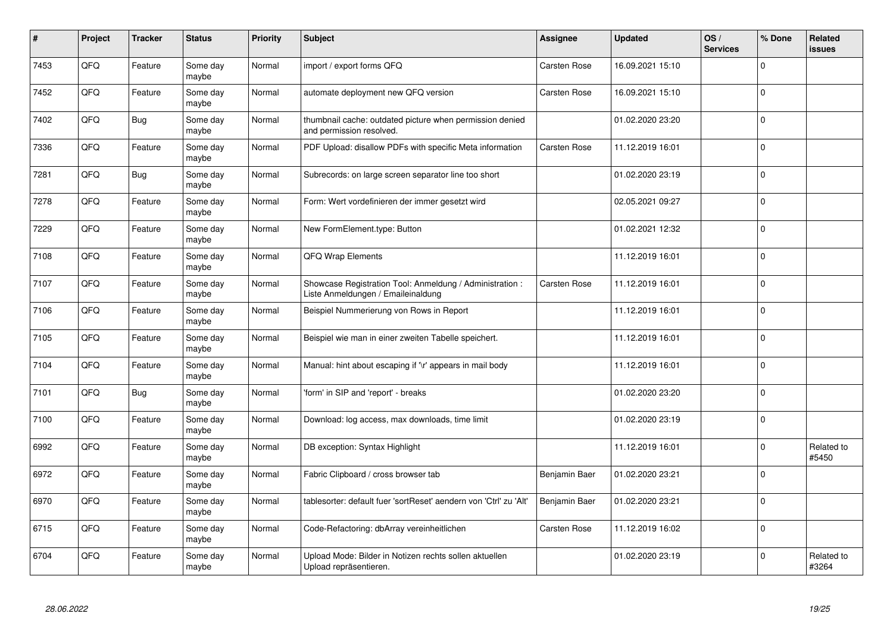| #    | Project | <b>Tracker</b> | <b>Status</b>     | Priority | <b>Subject</b>                                                                                 | Assignee            | <b>Updated</b>   | OS/<br><b>Services</b> | % Done       | Related<br><b>issues</b> |
|------|---------|----------------|-------------------|----------|------------------------------------------------------------------------------------------------|---------------------|------------------|------------------------|--------------|--------------------------|
| 7453 | QFQ     | Feature        | Some day<br>maybe | Normal   | import / export forms QFQ                                                                      | Carsten Rose        | 16.09.2021 15:10 |                        | $\Omega$     |                          |
| 7452 | QFQ     | Feature        | Some day<br>maybe | Normal   | automate deployment new QFQ version                                                            | Carsten Rose        | 16.09.2021 15:10 |                        | $\Omega$     |                          |
| 7402 | QFQ     | <b>Bug</b>     | Some day<br>maybe | Normal   | thumbnail cache: outdated picture when permission denied<br>and permission resolved.           |                     | 01.02.2020 23:20 |                        | $\mathbf 0$  |                          |
| 7336 | QFQ     | Feature        | Some day<br>maybe | Normal   | PDF Upload: disallow PDFs with specific Meta information                                       | <b>Carsten Rose</b> | 11.12.2019 16:01 |                        | $\Omega$     |                          |
| 7281 | QFQ     | Bug            | Some day<br>maybe | Normal   | Subrecords: on large screen separator line too short                                           |                     | 01.02.2020 23:19 |                        | $\mathbf{0}$ |                          |
| 7278 | QFQ     | Feature        | Some day<br>maybe | Normal   | Form: Wert vordefinieren der immer gesetzt wird                                                |                     | 02.05.2021 09:27 |                        | $\mathbf 0$  |                          |
| 7229 | QFQ     | Feature        | Some day<br>maybe | Normal   | New FormElement.type: Button                                                                   |                     | 01.02.2021 12:32 |                        | $\Omega$     |                          |
| 7108 | QFQ     | Feature        | Some day<br>maybe | Normal   | QFQ Wrap Elements                                                                              |                     | 11.12.2019 16:01 |                        | $\Omega$     |                          |
| 7107 | QFQ     | Feature        | Some day<br>maybe | Normal   | Showcase Registration Tool: Anmeldung / Administration :<br>Liste Anmeldungen / Emaileinaldung | Carsten Rose        | 11.12.2019 16:01 |                        | $\mathbf{0}$ |                          |
| 7106 | QFQ     | Feature        | Some day<br>maybe | Normal   | Beispiel Nummerierung von Rows in Report                                                       |                     | 11.12.2019 16:01 |                        | $\mathbf 0$  |                          |
| 7105 | QFQ     | Feature        | Some day<br>maybe | Normal   | Beispiel wie man in einer zweiten Tabelle speichert.                                           |                     | 11.12.2019 16:01 |                        | $\mathbf{0}$ |                          |
| 7104 | QFQ     | Feature        | Some day<br>maybe | Normal   | Manual: hint about escaping if '\r' appears in mail body                                       |                     | 11.12.2019 16:01 |                        | $\Omega$     |                          |
| 7101 | QFQ     | <b>Bug</b>     | Some day<br>maybe | Normal   | 'form' in SIP and 'report' - breaks                                                            |                     | 01.02.2020 23:20 |                        | $\mathbf 0$  |                          |
| 7100 | QFQ     | Feature        | Some day<br>maybe | Normal   | Download: log access, max downloads, time limit                                                |                     | 01.02.2020 23:19 |                        | $\Omega$     |                          |
| 6992 | QFQ     | Feature        | Some day<br>maybe | Normal   | DB exception: Syntax Highlight                                                                 |                     | 11.12.2019 16:01 |                        | $\Omega$     | Related to<br>#5450      |
| 6972 | QFQ     | Feature        | Some day<br>maybe | Normal   | Fabric Clipboard / cross browser tab                                                           | Benjamin Baer       | 01.02.2020 23:21 |                        | $\Omega$     |                          |
| 6970 | QFQ     | Feature        | Some day<br>maybe | Normal   | tablesorter: default fuer 'sortReset' aendern von 'Ctrl' zu 'Alt'                              | Benjamin Baer       | 01.02.2020 23:21 |                        | $\Omega$     |                          |
| 6715 | QFQ     | Feature        | Some day<br>maybe | Normal   | Code-Refactoring: dbArray vereinheitlichen                                                     | Carsten Rose        | 11.12.2019 16:02 |                        | $\Omega$     |                          |
| 6704 | QFQ     | Feature        | Some day<br>maybe | Normal   | Upload Mode: Bilder in Notizen rechts sollen aktuellen<br>Upload repräsentieren.               |                     | 01.02.2020 23:19 |                        | $\Omega$     | Related to<br>#3264      |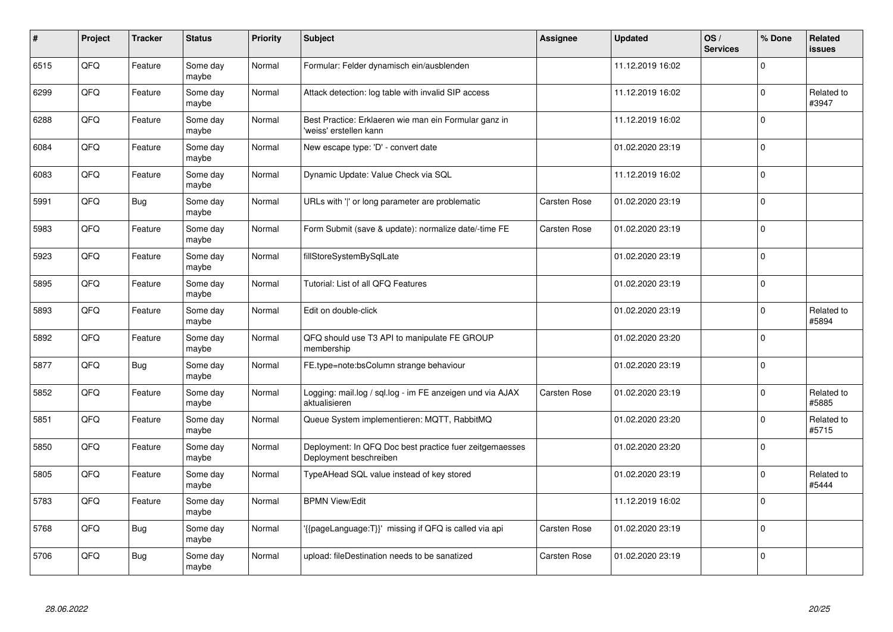| #    | Project | <b>Tracker</b> | <b>Status</b>     | <b>Priority</b> | <b>Subject</b>                                                                    | Assignee            | <b>Updated</b>   | OS/<br><b>Services</b> | % Done       | <b>Related</b><br><b>issues</b> |
|------|---------|----------------|-------------------|-----------------|-----------------------------------------------------------------------------------|---------------------|------------------|------------------------|--------------|---------------------------------|
| 6515 | QFQ     | Feature        | Some day<br>maybe | Normal          | Formular: Felder dynamisch ein/ausblenden                                         |                     | 11.12.2019 16:02 |                        | $\mathbf{0}$ |                                 |
| 6299 | QFQ     | Feature        | Some day<br>maybe | Normal          | Attack detection: log table with invalid SIP access                               |                     | 11.12.2019 16:02 |                        | $\mathbf 0$  | Related to<br>#3947             |
| 6288 | QFQ     | Feature        | Some day<br>maybe | Normal          | Best Practice: Erklaeren wie man ein Formular ganz in<br>'weiss' erstellen kann   |                     | 11.12.2019 16:02 |                        | $\Omega$     |                                 |
| 6084 | QFQ     | Feature        | Some day<br>maybe | Normal          | New escape type: 'D' - convert date                                               |                     | 01.02.2020 23:19 |                        | $\Omega$     |                                 |
| 6083 | QFQ     | Feature        | Some day<br>maybe | Normal          | Dynamic Update: Value Check via SQL                                               |                     | 11.12.2019 16:02 |                        | $\mathbf 0$  |                                 |
| 5991 | QFQ     | <b>Bug</b>     | Some day<br>maybe | Normal          | URLs with ' ' or long parameter are problematic                                   | Carsten Rose        | 01.02.2020 23:19 |                        | $\Omega$     |                                 |
| 5983 | QFQ     | Feature        | Some dav<br>maybe | Normal          | Form Submit (save & update): normalize date/-time FE                              | Carsten Rose        | 01.02.2020 23:19 |                        | $\Omega$     |                                 |
| 5923 | QFQ     | Feature        | Some day<br>maybe | Normal          | fillStoreSystemBySqlLate                                                          |                     | 01.02.2020 23:19 |                        | $\mathbf{0}$ |                                 |
| 5895 | QFQ     | Feature        | Some day<br>maybe | Normal          | Tutorial: List of all QFQ Features                                                |                     | 01.02.2020 23:19 |                        | $\Omega$     |                                 |
| 5893 | QFQ     | Feature        | Some day<br>maybe | Normal          | Edit on double-click                                                              |                     | 01.02.2020 23:19 |                        | $\Omega$     | Related to<br>#5894             |
| 5892 | QFQ     | Feature        | Some day<br>maybe | Normal          | QFQ should use T3 API to manipulate FE GROUP<br>membership                        |                     | 01.02.2020 23:20 |                        | $\mathbf{0}$ |                                 |
| 5877 | QFQ     | <b>Bug</b>     | Some day<br>maybe | Normal          | FE.type=note:bsColumn strange behaviour                                           |                     | 01.02.2020 23:19 |                        | $\Omega$     |                                 |
| 5852 | QFQ     | Feature        | Some day<br>maybe | Normal          | Logging: mail.log / sql.log - im FE anzeigen und via AJAX<br>aktualisieren        | <b>Carsten Rose</b> | 01.02.2020 23:19 |                        | $\Omega$     | Related to<br>#5885             |
| 5851 | QFQ     | Feature        | Some day<br>maybe | Normal          | Queue System implementieren: MQTT, RabbitMQ                                       |                     | 01.02.2020 23:20 |                        | $\Omega$     | Related to<br>#5715             |
| 5850 | QFQ     | Feature        | Some day<br>maybe | Normal          | Deployment: In QFQ Doc best practice fuer zeitgemaesses<br>Deployment beschreiben |                     | 01.02.2020 23:20 |                        | $\Omega$     |                                 |
| 5805 | QFQ     | Feature        | Some day<br>maybe | Normal          | TypeAHead SQL value instead of key stored                                         |                     | 01.02.2020 23:19 |                        | $\Omega$     | Related to<br>#5444             |
| 5783 | QFQ     | Feature        | Some day<br>maybe | Normal          | <b>BPMN View/Edit</b>                                                             |                     | 11.12.2019 16:02 |                        | $\Omega$     |                                 |
| 5768 | QFQ     | <b>Bug</b>     | Some day<br>maybe | Normal          | '{{pageLanguage:T}}' missing if QFQ is called via api                             | Carsten Rose        | 01.02.2020 23:19 |                        | $\Omega$     |                                 |
| 5706 | QFQ     | Bug            | Some day<br>maybe | Normal          | upload: fileDestination needs to be sanatized                                     | Carsten Rose        | 01.02.2020 23:19 |                        | $\Omega$     |                                 |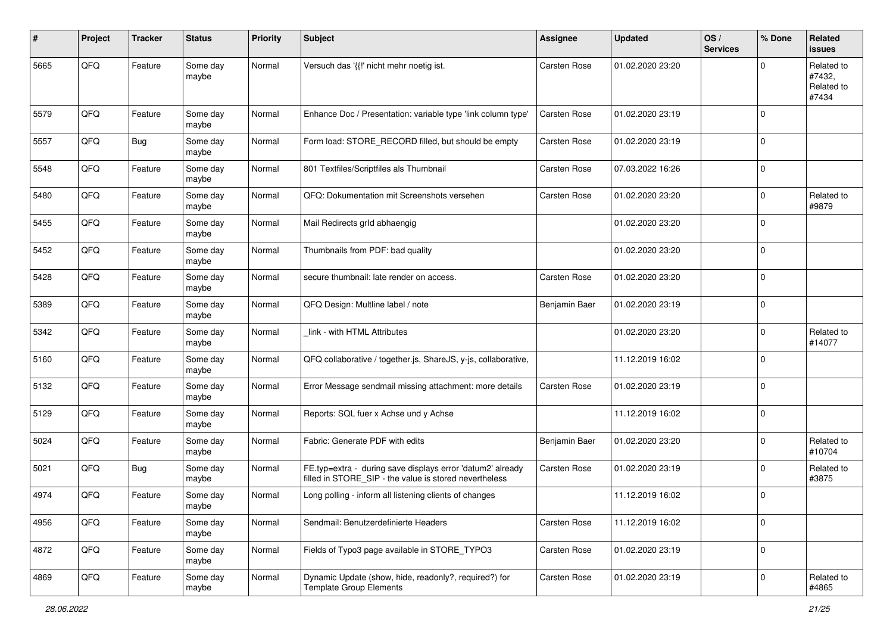| #    | Project | <b>Tracker</b> | <b>Status</b>     | <b>Priority</b> | <b>Subject</b>                                                                                                       | <b>Assignee</b>     | <b>Updated</b>   | OS/<br><b>Services</b> | % Done      | <b>Related</b><br><b>issues</b>             |
|------|---------|----------------|-------------------|-----------------|----------------------------------------------------------------------------------------------------------------------|---------------------|------------------|------------------------|-------------|---------------------------------------------|
| 5665 | QFQ     | Feature        | Some day<br>maybe | Normal          | Versuch das '{{!' nicht mehr noetig ist.                                                                             | Carsten Rose        | 01.02.2020 23:20 |                        | $\Omega$    | Related to<br>#7432,<br>Related to<br>#7434 |
| 5579 | QFQ     | Feature        | Some day<br>maybe | Normal          | Enhance Doc / Presentation: variable type 'link column type'                                                         | Carsten Rose        | 01.02.2020 23:19 |                        | $\mathbf 0$ |                                             |
| 5557 | QFQ     | Bug            | Some day<br>maybe | Normal          | Form load: STORE_RECORD filled, but should be empty                                                                  | Carsten Rose        | 01.02.2020 23:19 |                        | $\mathbf 0$ |                                             |
| 5548 | QFQ     | Feature        | Some day<br>maybe | Normal          | 801 Textfiles/Scriptfiles als Thumbnail                                                                              | Carsten Rose        | 07.03.2022 16:26 |                        | $\mathbf 0$ |                                             |
| 5480 | QFQ     | Feature        | Some day<br>maybe | Normal          | QFQ: Dokumentation mit Screenshots versehen                                                                          | Carsten Rose        | 01.02.2020 23:20 |                        | $\mathbf 0$ | Related to<br>#9879                         |
| 5455 | QFQ     | Feature        | Some day<br>maybe | Normal          | Mail Redirects grld abhaengig                                                                                        |                     | 01.02.2020 23:20 |                        | $\mathbf 0$ |                                             |
| 5452 | QFQ     | Feature        | Some day<br>maybe | Normal          | Thumbnails from PDF: bad quality                                                                                     |                     | 01.02.2020 23:20 |                        | $\mathbf 0$ |                                             |
| 5428 | QFQ     | Feature        | Some day<br>maybe | Normal          | secure thumbnail: late render on access.                                                                             | Carsten Rose        | 01.02.2020 23:20 |                        | $\mathbf 0$ |                                             |
| 5389 | QFQ     | Feature        | Some day<br>maybe | Normal          | QFQ Design: Multline label / note                                                                                    | Benjamin Baer       | 01.02.2020 23:19 |                        | $\mathbf 0$ |                                             |
| 5342 | QFQ     | Feature        | Some day<br>maybe | Normal          | link - with HTML Attributes                                                                                          |                     | 01.02.2020 23:20 |                        | $\mathbf 0$ | Related to<br>#14077                        |
| 5160 | QFQ     | Feature        | Some day<br>maybe | Normal          | QFQ collaborative / together.js, ShareJS, y-js, collaborative,                                                       |                     | 11.12.2019 16:02 |                        | $\mathbf 0$ |                                             |
| 5132 | QFQ     | Feature        | Some day<br>maybe | Normal          | Error Message sendmail missing attachment: more details                                                              | <b>Carsten Rose</b> | 01.02.2020 23:19 |                        | $\mathbf 0$ |                                             |
| 5129 | QFQ     | Feature        | Some day<br>maybe | Normal          | Reports: SQL fuer x Achse und y Achse                                                                                |                     | 11.12.2019 16:02 |                        | $\mathbf 0$ |                                             |
| 5024 | QFQ     | Feature        | Some day<br>maybe | Normal          | Fabric: Generate PDF with edits                                                                                      | Benjamin Baer       | 01.02.2020 23:20 |                        | $\mathbf 0$ | Related to<br>#10704                        |
| 5021 | QFQ     | Bug            | Some day<br>maybe | Normal          | FE.typ=extra - during save displays error 'datum2' already<br>filled in STORE SIP - the value is stored nevertheless | Carsten Rose        | 01.02.2020 23:19 |                        | $\mathbf 0$ | Related to<br>#3875                         |
| 4974 | QFQ     | Feature        | Some day<br>maybe | Normal          | Long polling - inform all listening clients of changes                                                               |                     | 11.12.2019 16:02 |                        | $\mathbf 0$ |                                             |
| 4956 | QFQ     | Feature        | Some day<br>maybe | Normal          | Sendmail: Benutzerdefinierte Headers                                                                                 | Carsten Rose        | 11.12.2019 16:02 |                        | $\mathbf 0$ |                                             |
| 4872 | QFQ     | Feature        | Some day<br>maybe | Normal          | Fields of Typo3 page available in STORE_TYPO3                                                                        | Carsten Rose        | 01.02.2020 23:19 |                        | $\mathbf 0$ |                                             |
| 4869 | QFQ     | Feature        | Some day<br>maybe | Normal          | Dynamic Update (show, hide, readonly?, required?) for<br><b>Template Group Elements</b>                              | Carsten Rose        | 01.02.2020 23:19 |                        | $\mathbf 0$ | Related to<br>#4865                         |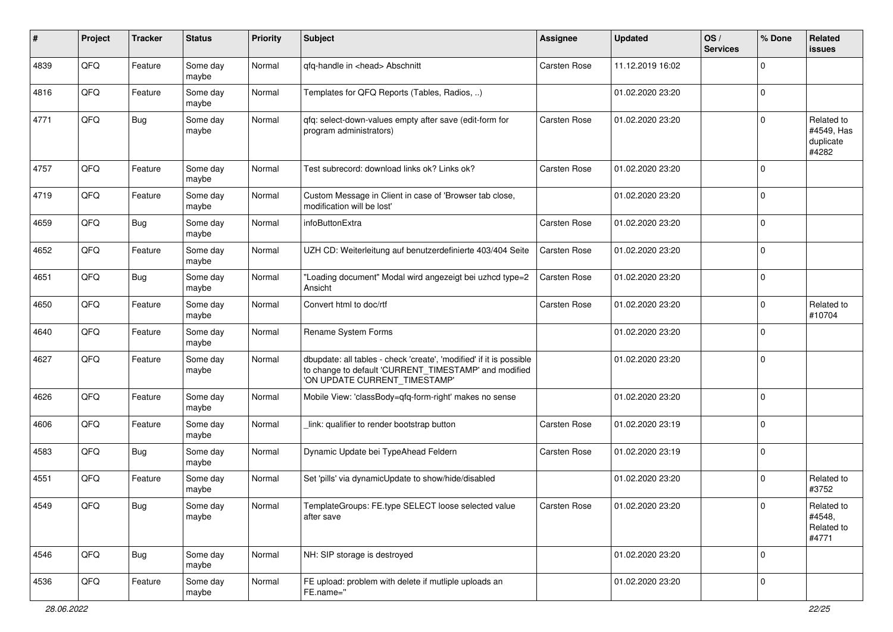| #    | Project        | <b>Tracker</b> | <b>Status</b>     | <b>Priority</b> | Subject                                                                                                                                                       | Assignee            | <b>Updated</b>   | OS/<br><b>Services</b> | % Done      | <b>Related</b><br><b>issues</b>                |
|------|----------------|----------------|-------------------|-----------------|---------------------------------------------------------------------------------------------------------------------------------------------------------------|---------------------|------------------|------------------------|-------------|------------------------------------------------|
| 4839 | QFQ            | Feature        | Some day<br>maybe | Normal          | qfq-handle in <head> Abschnitt</head>                                                                                                                         | <b>Carsten Rose</b> | 11.12.2019 16:02 |                        | $\Omega$    |                                                |
| 4816 | QFQ            | Feature        | Some day<br>maybe | Normal          | Templates for QFQ Reports (Tables, Radios, )                                                                                                                  |                     | 01.02.2020 23:20 |                        | $\mathbf 0$ |                                                |
| 4771 | QFQ            | Bug            | Some day<br>maybe | Normal          | qfq: select-down-values empty after save (edit-form for<br>program administrators)                                                                            | <b>Carsten Rose</b> | 01.02.2020 23:20 |                        | $\Omega$    | Related to<br>#4549, Has<br>duplicate<br>#4282 |
| 4757 | QFQ            | Feature        | Some day<br>maybe | Normal          | Test subrecord: download links ok? Links ok?                                                                                                                  | <b>Carsten Rose</b> | 01.02.2020 23:20 |                        | $\mathbf 0$ |                                                |
| 4719 | QFQ            | Feature        | Some day<br>maybe | Normal          | Custom Message in Client in case of 'Browser tab close,<br>modification will be lost'                                                                         |                     | 01.02.2020 23:20 |                        | $\mathbf 0$ |                                                |
| 4659 | QFQ            | Bug            | Some day<br>maybe | Normal          | infoButtonExtra                                                                                                                                               | <b>Carsten Rose</b> | 01.02.2020 23:20 |                        | $\mathbf 0$ |                                                |
| 4652 | QFQ            | Feature        | Some day<br>maybe | Normal          | UZH CD: Weiterleitung auf benutzerdefinierte 403/404 Seite                                                                                                    | <b>Carsten Rose</b> | 01.02.2020 23:20 |                        | $\mathbf 0$ |                                                |
| 4651 | QFQ            | Bug            | Some day<br>maybe | Normal          | "Loading document" Modal wird angezeigt bei uzhcd type=2<br>Ansicht                                                                                           | Carsten Rose        | 01.02.2020 23:20 |                        | $\mathbf 0$ |                                                |
| 4650 | QFQ            | Feature        | Some day<br>maybe | Normal          | Convert html to doc/rtf                                                                                                                                       | Carsten Rose        | 01.02.2020 23:20 |                        | $\mathbf 0$ | Related to<br>#10704                           |
| 4640 | QFQ            | Feature        | Some day<br>maybe | Normal          | Rename System Forms                                                                                                                                           |                     | 01.02.2020 23:20 |                        | $\mathbf 0$ |                                                |
| 4627 | QFQ            | Feature        | Some day<br>maybe | Normal          | dbupdate: all tables - check 'create', 'modified' if it is possible<br>to change to default 'CURRENT_TIMESTAMP' and modified<br>'ON UPDATE CURRENT_TIMESTAMP' |                     | 01.02.2020 23:20 |                        | $\mathbf 0$ |                                                |
| 4626 | QFQ            | Feature        | Some day<br>maybe | Normal          | Mobile View: 'classBody=qfq-form-right' makes no sense                                                                                                        |                     | 01.02.2020 23:20 |                        | $\mathbf 0$ |                                                |
| 4606 | QFQ            | Feature        | Some day<br>maybe | Normal          | link: qualifier to render bootstrap button                                                                                                                    | <b>Carsten Rose</b> | 01.02.2020 23:19 |                        | $\mathbf 0$ |                                                |
| 4583 | QFQ            | Bug            | Some day<br>maybe | Normal          | Dynamic Update bei TypeAhead Feldern                                                                                                                          | Carsten Rose        | 01.02.2020 23:19 |                        | $\mathbf 0$ |                                                |
| 4551 | QFQ            | Feature        | Some day<br>maybe | Normal          | Set 'pills' via dynamicUpdate to show/hide/disabled                                                                                                           |                     | 01.02.2020 23:20 |                        | $\mathbf 0$ | Related to<br>#3752                            |
| 4549 | $\mathsf{QFQ}$ | Bug            | Some day<br>maybe | Normal          | TemplateGroups: FE.type SELECT loose selected value<br>after save                                                                                             | Carsten Rose        | 01.02.2020 23:20 |                        | $\pmb{0}$   | Related to<br>#4548,<br>Related to<br>#4771    |
| 4546 | QFQ            | <b>Bug</b>     | Some day<br>maybe | Normal          | NH: SIP storage is destroyed                                                                                                                                  |                     | 01.02.2020 23:20 |                        | $\mathbf 0$ |                                                |
| 4536 | QFQ            | Feature        | Some day<br>maybe | Normal          | FE upload: problem with delete if mutliple uploads an<br>FE.name="                                                                                            |                     | 01.02.2020 23:20 |                        | $\mathbf 0$ |                                                |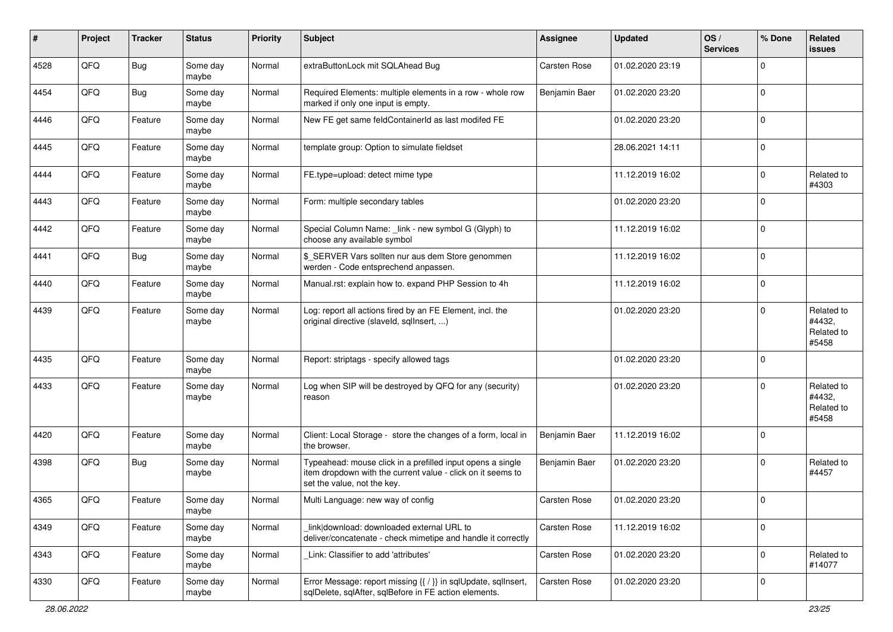| #    | Project | <b>Tracker</b> | <b>Status</b>     | <b>Priority</b> | <b>Subject</b>                                                                                                                                           | Assignee      | <b>Updated</b>   | OS/<br><b>Services</b> | % Done      | Related<br><b>issues</b>                    |
|------|---------|----------------|-------------------|-----------------|----------------------------------------------------------------------------------------------------------------------------------------------------------|---------------|------------------|------------------------|-------------|---------------------------------------------|
| 4528 | QFQ     | Bug            | Some day<br>maybe | Normal          | extraButtonLock mit SQLAhead Bug                                                                                                                         | Carsten Rose  | 01.02.2020 23:19 |                        | $\mathbf 0$ |                                             |
| 4454 | QFQ     | Bug            | Some day<br>maybe | Normal          | Required Elements: multiple elements in a row - whole row<br>marked if only one input is empty.                                                          | Benjamin Baer | 01.02.2020 23:20 |                        | $\mathbf 0$ |                                             |
| 4446 | QFQ     | Feature        | Some day<br>maybe | Normal          | New FE get same feldContainerId as last modifed FE                                                                                                       |               | 01.02.2020 23:20 |                        | $\mathbf 0$ |                                             |
| 4445 | QFQ     | Feature        | Some day<br>maybe | Normal          | template group: Option to simulate fieldset                                                                                                              |               | 28.06.2021 14:11 |                        | $\mathbf 0$ |                                             |
| 4444 | QFQ     | Feature        | Some day<br>maybe | Normal          | FE.type=upload: detect mime type                                                                                                                         |               | 11.12.2019 16:02 |                        | $\mathbf 0$ | Related to<br>#4303                         |
| 4443 | QFQ     | Feature        | Some day<br>maybe | Normal          | Form: multiple secondary tables                                                                                                                          |               | 01.02.2020 23:20 |                        | $\mathbf 0$ |                                             |
| 4442 | QFQ     | Feature        | Some day<br>maybe | Normal          | Special Column Name: _link - new symbol G (Glyph) to<br>choose any available symbol                                                                      |               | 11.12.2019 16:02 |                        | $\mathbf 0$ |                                             |
| 4441 | QFQ     | Bug            | Some day<br>maybe | Normal          | \$ SERVER Vars sollten nur aus dem Store genommen<br>werden - Code entsprechend anpassen.                                                                |               | 11.12.2019 16:02 |                        | $\mathbf 0$ |                                             |
| 4440 | QFQ     | Feature        | Some day<br>maybe | Normal          | Manual.rst: explain how to. expand PHP Session to 4h                                                                                                     |               | 11.12.2019 16:02 |                        | $\mathbf 0$ |                                             |
| 4439 | QFQ     | Feature        | Some day<br>maybe | Normal          | Log: report all actions fired by an FE Element, incl. the<br>original directive (slaveld, sqllnsert, )                                                   |               | 01.02.2020 23:20 |                        | $\mathbf 0$ | Related to<br>#4432,<br>Related to<br>#5458 |
| 4435 | QFQ     | Feature        | Some day<br>maybe | Normal          | Report: striptags - specify allowed tags                                                                                                                 |               | 01.02.2020 23:20 |                        | $\mathbf 0$ |                                             |
| 4433 | QFQ     | Feature        | Some day<br>maybe | Normal          | Log when SIP will be destroyed by QFQ for any (security)<br>reason                                                                                       |               | 01.02.2020 23:20 |                        | $\mathbf 0$ | Related to<br>#4432,<br>Related to<br>#5458 |
| 4420 | QFQ     | Feature        | Some day<br>maybe | Normal          | Client: Local Storage - store the changes of a form, local in<br>the browser.                                                                            | Benjamin Baer | 11.12.2019 16:02 |                        | $\mathbf 0$ |                                             |
| 4398 | QFQ     | Bug            | Some day<br>maybe | Normal          | Typeahead: mouse click in a prefilled input opens a single<br>item dropdown with the current value - click on it seems to<br>set the value, not the key. | Benjamin Baer | 01.02.2020 23:20 |                        | $\mathbf 0$ | Related to<br>#4457                         |
| 4365 | QFQ     | Feature        | Some day<br>maybe | Normal          | Multi Language: new way of config                                                                                                                        | Carsten Rose  | 01.02.2020 23:20 |                        | $\mathbf 0$ |                                             |
| 4349 | QFQ     | Feature        | Some day<br>maybe | Normal          | link download: downloaded external URL to<br>deliver/concatenate - check mimetipe and handle it correctly                                                | Carsten Rose  | 11.12.2019 16:02 |                        | $\mathbf 0$ |                                             |
| 4343 | QFQ     | Feature        | Some day<br>maybe | Normal          | Link: Classifier to add 'attributes'                                                                                                                     | Carsten Rose  | 01.02.2020 23:20 |                        | $\mathbf 0$ | Related to<br>#14077                        |
| 4330 | QFG     | Feature        | Some day<br>maybe | Normal          | Error Message: report missing {{ / }} in sqlUpdate, sqlInsert,<br>sqlDelete, sqlAfter, sqlBefore in FE action elements.                                  | Carsten Rose  | 01.02.2020 23:20 |                        | 0           |                                             |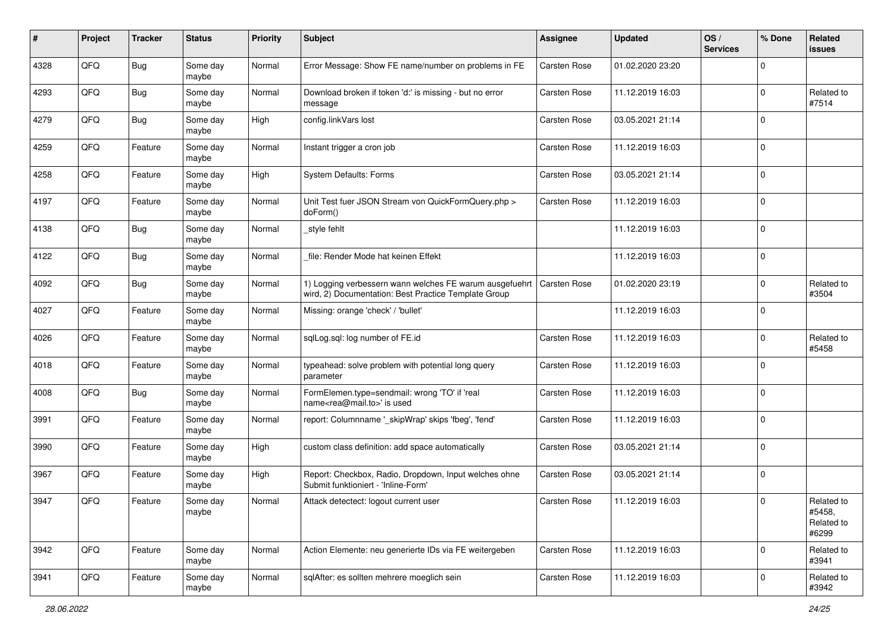| $\pmb{\#}$ | Project | <b>Tracker</b> | <b>Status</b>     | <b>Priority</b> | <b>Subject</b>                                                                                                                 | <b>Assignee</b>     | <b>Updated</b>   | OS/<br><b>Services</b> | % Done       | Related<br><b>issues</b>                    |
|------------|---------|----------------|-------------------|-----------------|--------------------------------------------------------------------------------------------------------------------------------|---------------------|------------------|------------------------|--------------|---------------------------------------------|
| 4328       | QFQ     | <b>Bug</b>     | Some day<br>maybe | Normal          | Error Message: Show FE name/number on problems in FE                                                                           | <b>Carsten Rose</b> | 01.02.2020 23:20 |                        | $\Omega$     |                                             |
| 4293       | QFQ     | Bug            | Some day<br>maybe | Normal          | Download broken if token 'd:' is missing - but no error<br>message                                                             | Carsten Rose        | 11.12.2019 16:03 |                        | $\mathbf 0$  | Related to<br>#7514                         |
| 4279       | QFQ     | Bug            | Some day<br>maybe | High            | config.linkVars lost                                                                                                           | <b>Carsten Rose</b> | 03.05.2021 21:14 |                        | $\Omega$     |                                             |
| 4259       | QFQ     | Feature        | Some day<br>maybe | Normal          | Instant trigger a cron job                                                                                                     | Carsten Rose        | 11.12.2019 16:03 |                        | $\mathbf 0$  |                                             |
| 4258       | QFQ     | Feature        | Some day<br>maybe | High            | <b>System Defaults: Forms</b>                                                                                                  | Carsten Rose        | 03.05.2021 21:14 |                        | $\mathbf 0$  |                                             |
| 4197       | QFQ     | Feature        | Some day<br>maybe | Normal          | Unit Test fuer JSON Stream von QuickFormQuery.php ><br>doForm()                                                                | Carsten Rose        | 11.12.2019 16:03 |                        | $\Omega$     |                                             |
| 4138       | QFQ     | <b>Bug</b>     | Some day<br>maybe | Normal          | style fehlt                                                                                                                    |                     | 11.12.2019 16:03 |                        | $\mathbf{0}$ |                                             |
| 4122       | QFQ     | Bug            | Some day<br>maybe | Normal          | file: Render Mode hat keinen Effekt                                                                                            |                     | 11.12.2019 16:03 |                        | $\Omega$     |                                             |
| 4092       | QFQ     | Bug            | Some day<br>maybe | Normal          | 1) Logging verbessern wann welches FE warum ausgefuehrt   Carsten Rose<br>wird, 2) Documentation: Best Practice Template Group |                     | 01.02.2020 23:19 |                        | $\mathbf 0$  | Related to<br>#3504                         |
| 4027       | QFQ     | Feature        | Some day<br>maybe | Normal          | Missing: orange 'check' / 'bullet'                                                                                             |                     | 11.12.2019 16:03 |                        | $\Omega$     |                                             |
| 4026       | QFQ     | Feature        | Some day<br>maybe | Normal          | sqlLog.sql: log number of FE.id                                                                                                | <b>Carsten Rose</b> | 11.12.2019 16:03 |                        | $\mathbf 0$  | Related to<br>#5458                         |
| 4018       | QFQ     | Feature        | Some day<br>maybe | Normal          | typeahead: solve problem with potential long query<br>parameter                                                                | Carsten Rose        | 11.12.2019 16:03 |                        | $\Omega$     |                                             |
| 4008       | QFQ     | <b>Bug</b>     | Some day<br>maybe | Normal          | FormElemen.type=sendmail: wrong 'TO' if 'real<br>name <rea@mail.to>' is used</rea@mail.to>                                     | Carsten Rose        | 11.12.2019 16:03 |                        | $\Omega$     |                                             |
| 3991       | QFQ     | Feature        | Some day<br>maybe | Normal          | report: Columnname '_skipWrap' skips 'fbeg', 'fend'                                                                            | Carsten Rose        | 11.12.2019 16:03 |                        | $\Omega$     |                                             |
| 3990       | QFQ     | Feature        | Some day<br>maybe | High            | custom class definition: add space automatically                                                                               | Carsten Rose        | 03.05.2021 21:14 |                        | $\mathbf 0$  |                                             |
| 3967       | QFQ     | Feature        | Some day<br>maybe | High            | Report: Checkbox, Radio, Dropdown, Input welches ohne<br>Submit funktioniert - 'Inline-Form'                                   | Carsten Rose        | 03.05.2021 21:14 |                        | l 0          |                                             |
| 3947       | QFQ     | Feature        | Some day<br>maybe | Normal          | Attack detectect: logout current user                                                                                          | <b>Carsten Rose</b> | 11.12.2019 16:03 |                        | $\Omega$     | Related to<br>#5458,<br>Related to<br>#6299 |
| 3942       | QFQ     | Feature        | Some day<br>maybe | Normal          | Action Elemente: neu generierte IDs via FE weitergeben                                                                         | Carsten Rose        | 11.12.2019 16:03 |                        | l 0          | Related to<br>#3941                         |
| 3941       | QFG     | Feature        | Some day<br>maybe | Normal          | sqlAfter: es sollten mehrere moeglich sein                                                                                     | Carsten Rose        | 11.12.2019 16:03 |                        | $\mathbf 0$  | Related to<br>#3942                         |